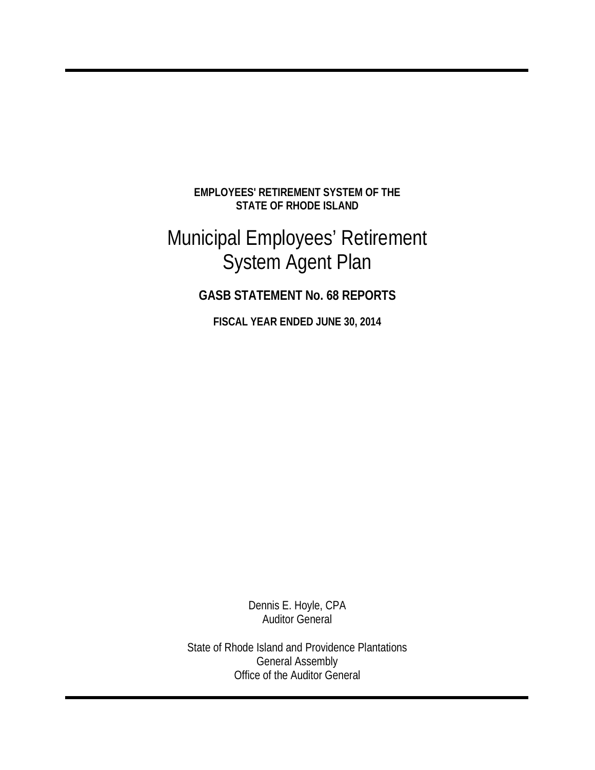**EMPLOYEES' RETIREMENT SYSTEM OF THE STATE OF RHODE ISLAND** 

# Municipal Employees' Retirement System Agent Plan

## **GASB STATEMENT No. 68 REPORTS**

**FISCAL YEAR ENDED JUNE 30, 2014**

Dennis E. Hoyle, CPA Auditor General

State of Rhode Island and Providence Plantations General Assembly Office of the Auditor General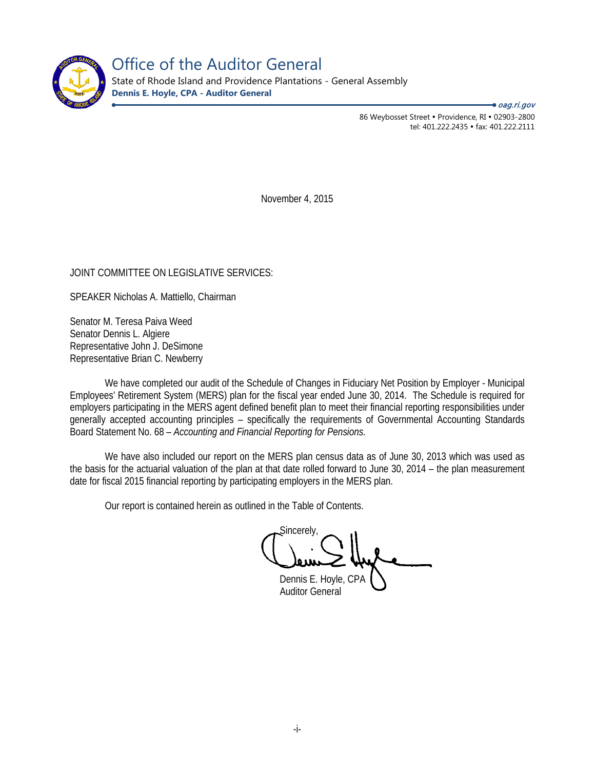

Office of the Auditor General

State of Rhode Island and Providence Plantations - General Assembly **Dennis E. Hoyle, CPA - Auditor General**

● *oag.ri.gov* 

86 Weybosset Street · Providence, RI · 02903-2800 tel: 401.222.2435 · fax: 401.222.2111

November 4, 2015

#### JOINT COMMITTEE ON LEGISLATIVE SERVICES:

SPEAKER Nicholas A. Mattiello, Chairman

Senator M. Teresa Paiva Weed Senator Dennis L. Algiere Representative John J. DeSimone Representative Brian C. Newberry

We have completed our audit of the Schedule of Changes in Fiduciary Net Position by Employer - Municipal Employees' Retirement System (MERS) plan for the fiscal year ended June 30, 2014. The Schedule is required for employers participating in the MERS agent defined benefit plan to meet their financial reporting responsibilities under generally accepted accounting principles – specifically the requirements of Governmental Accounting Standards Board Statement No. 68 – *Accounting and Financial Reporting for Pensions.* 

We have also included our report on the MERS plan census data as of June 30, 2013 which was used as the basis for the actuarial valuation of the plan at that date rolled forward to June 30, 2014 – the plan measurement date for fiscal 2015 financial reporting by participating employers in the MERS plan.

Our report is contained herein as outlined in the Table of Contents.

Sincerely,

Dennis E. Hoyle, CPA Auditor General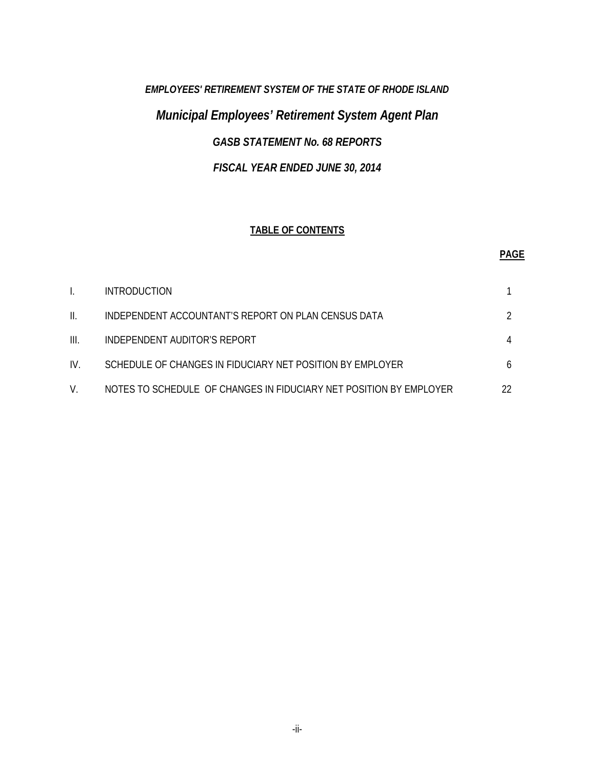# *EMPLOYEES' RETIREMENT SYSTEM OF THE STATE OF RHODE ISLAND Municipal Employees' Retirement System Agent Plan GASB STATEMENT No. 68 REPORTS FISCAL YEAR ENDED JUNE 30, 2014*

#### **TABLE OF CONTENTS**

#### **PAGE**

|      | <b>INTRODUCTION</b>                                                |    |
|------|--------------------------------------------------------------------|----|
| II.  | INDEPENDENT ACCOUNTANT'S REPORT ON PLAN CENSUS DATA                |    |
| III. | INDEPENDENT AUDITOR'S REPORT                                       |    |
| IV.  | SCHEDULE OF CHANGES IN FIDUCIARY NET POSITION BY EMPLOYER          | 6  |
|      | NOTES TO SCHEDULE OF CHANGES IN FIDUCIARY NET POSITION BY EMPLOYER | 22 |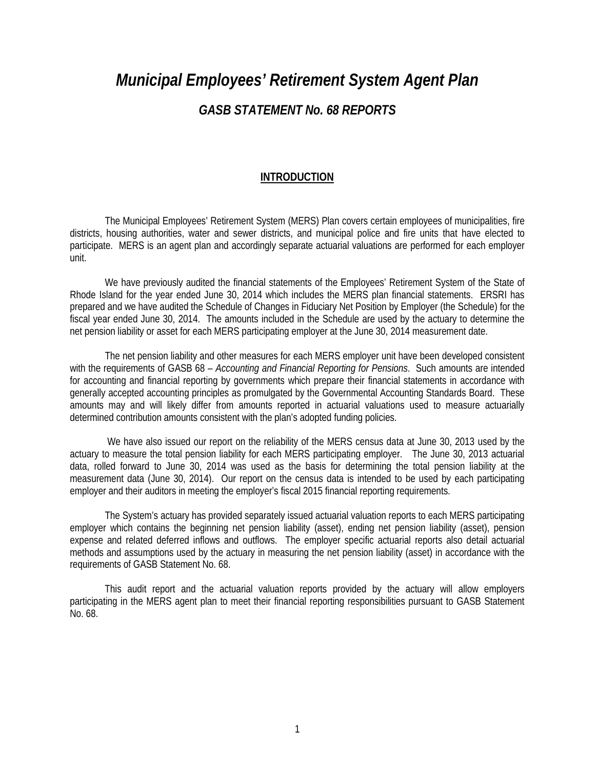# *Municipal Employees' Retirement System Agent Plan GASB STATEMENT No. 68 REPORTS*

#### **INTRODUCTION**

The Municipal Employees' Retirement System (MERS) Plan covers certain employees of municipalities, fire districts, housing authorities, water and sewer districts, and municipal police and fire units that have elected to participate. MERS is an agent plan and accordingly separate actuarial valuations are performed for each employer unit.

We have previously audited the financial statements of the Employees' Retirement System of the State of Rhode Island for the year ended June 30, 2014 which includes the MERS plan financial statements. ERSRI has prepared and we have audited the Schedule of Changes in Fiduciary Net Position by Employer (the Schedule) for the fiscal year ended June 30, 2014. The amounts included in the Schedule are used by the actuary to determine the net pension liability or asset for each MERS participating employer at the June 30, 2014 measurement date.

The net pension liability and other measures for each MERS employer unit have been developed consistent with the requirements of GASB 68 – *Accounting and Financial Reporting for Pensions*. Such amounts are intended for accounting and financial reporting by governments which prepare their financial statements in accordance with generally accepted accounting principles as promulgated by the Governmental Accounting Standards Board. These amounts may and will likely differ from amounts reported in actuarial valuations used to measure actuarially determined contribution amounts consistent with the plan's adopted funding policies.

We have also issued our report on the reliability of the MERS census data at June 30, 2013 used by the actuary to measure the total pension liability for each MERS participating employer. The June 30, 2013 actuarial data, rolled forward to June 30, 2014 was used as the basis for determining the total pension liability at the measurement data (June 30, 2014). Our report on the census data is intended to be used by each participating employer and their auditors in meeting the employer's fiscal 2015 financial reporting requirements.

The System's actuary has provided separately issued actuarial valuation reports to each MERS participating employer which contains the beginning net pension liability (asset), ending net pension liability (asset), pension expense and related deferred inflows and outflows. The employer specific actuarial reports also detail actuarial methods and assumptions used by the actuary in measuring the net pension liability (asset) in accordance with the requirements of GASB Statement No. 68.

This audit report and the actuarial valuation reports provided by the actuary will allow employers participating in the MERS agent plan to meet their financial reporting responsibilities pursuant to GASB Statement No. 68.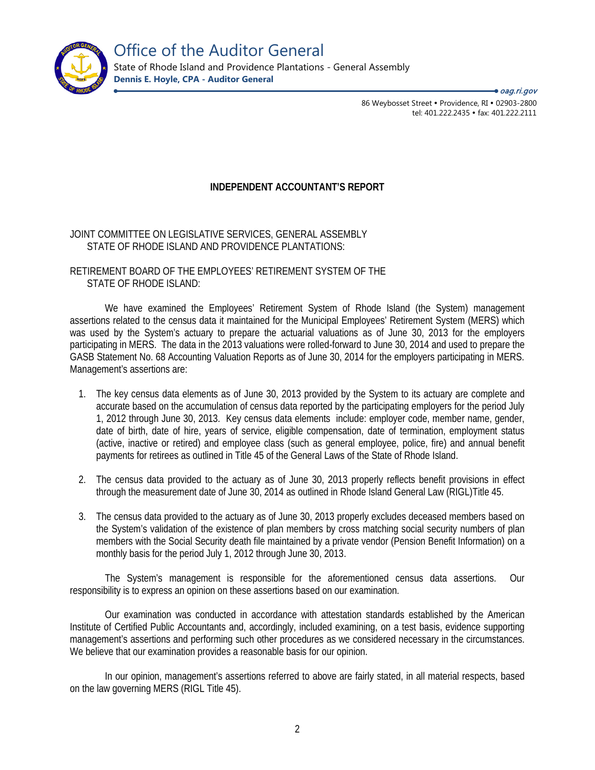

Office of the Auditor General

State of Rhode Island and Providence Plantations - General Assembly **Dennis E. Hoyle, CPA - Auditor General**

> 86 Weybosset Street · Providence, RI · 02903-2800 tel: 401.222.2435 · fax: 401.222.2111 <del>●</del> oaq.ri.gov

#### **INDEPENDENT ACCOUNTANT'S REPORT**

JOINT COMMITTEE ON LEGISLATIVE SERVICES, GENERAL ASSEMBLY STATE OF RHODE ISLAND AND PROVIDENCE PLANTATIONS:

RETIREMENT BOARD OF THE EMPLOYEES' RETIREMENT SYSTEM OF THE STATE OF RHODE ISLAND:

We have examined the Employees' Retirement System of Rhode Island (the System) management assertions related to the census data it maintained for the Municipal Employees' Retirement System (MERS) which was used by the System's actuary to prepare the actuarial valuations as of June 30, 2013 for the employers participating in MERS. The data in the 2013 valuations were rolled-forward to June 30, 2014 and used to prepare the GASB Statement No. 68 Accounting Valuation Reports as of June 30, 2014 for the employers participating in MERS. Management's assertions are:

- 1. The key census data elements as of June 30, 2013 provided by the System to its actuary are complete and accurate based on the accumulation of census data reported by the participating employers for the period July 1, 2012 through June 30, 2013. Key census data elements include: employer code, member name, gender, date of birth, date of hire, years of service, eligible compensation, date of termination, employment status (active, inactive or retired) and employee class (such as general employee, police, fire) and annual benefit payments for retirees as outlined in Title 45 of the General Laws of the State of Rhode Island.
- 2. The census data provided to the actuary as of June 30, 2013 properly reflects benefit provisions in effect through the measurement date of June 30, 2014 as outlined in Rhode Island General Law (RIGL)Title 45.
- 3. The census data provided to the actuary as of June 30, 2013 properly excludes deceased members based on the System's validation of the existence of plan members by cross matching social security numbers of plan members with the Social Security death file maintained by a private vendor (Pension Benefit Information) on a monthly basis for the period July 1, 2012 through June 30, 2013.

The System's management is responsible for the aforementioned census data assertions. Our responsibility is to express an opinion on these assertions based on our examination.

Our examination was conducted in accordance with attestation standards established by the American Institute of Certified Public Accountants and, accordingly, included examining, on a test basis, evidence supporting management's assertions and performing such other procedures as we considered necessary in the circumstances. We believe that our examination provides a reasonable basis for our opinion.

In our opinion, management's assertions referred to above are fairly stated, in all material respects, based on the law governing MERS (RIGL Title 45).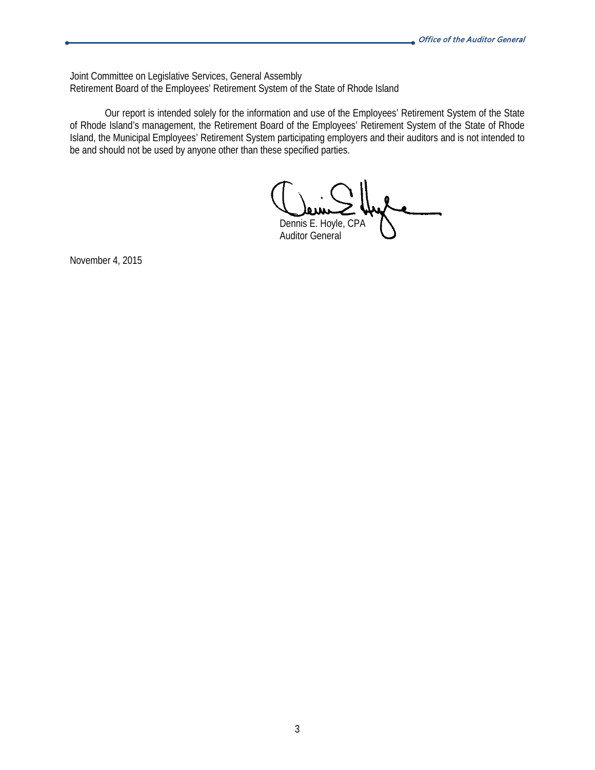Joint Committee on Legislative Services, General Assembly Retirement Board of the Employees' Retirement System of the State of Rhode Island

Our report is intended solely for the information and use of the Employees' Retirement System of the State of Rhode Island's management, the Retirement Board of the Employees' Retirement System of the State of Rhode Island, the Municipal Employees' Retirement System participating employers and their auditors and is not intended to be and should not be used by anyone other than these specified parties.

Dennis E. Hoyle, CPA Auditor General

November 4, 2015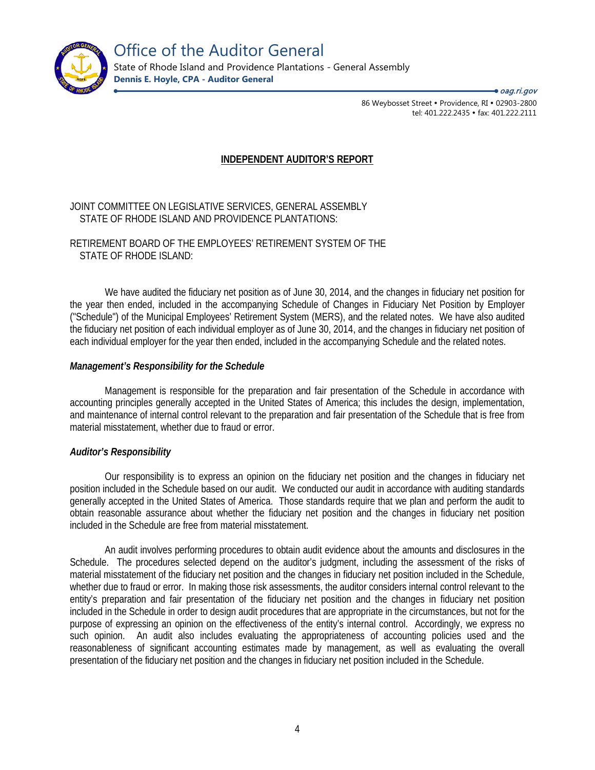

Office of the Auditor General State of Rhode Island and Providence Plantations - General Assembly

**Dennis E. Hoyle, CPA - Auditor General**

86 Weybosset Street · Providence, RI · 02903-2800 tel: 401.222.2435 · fax: 401.222.2111 <del>●</del> oaq.ri.gov

#### **INDEPENDENT AUDITOR'S REPORT**

#### JOINT COMMITTEE ON LEGISLATIVE SERVICES, GENERAL ASSEMBLY STATE OF RHODE ISLAND AND PROVIDENCE PLANTATIONS:

#### RETIREMENT BOARD OF THE EMPLOYEES' RETIREMENT SYSTEM OF THE STATE OF RHODE ISLAND:

We have audited the fiduciary net position as of June 30, 2014, and the changes in fiduciary net position for the year then ended, included in the accompanying Schedule of Changes in Fiduciary Net Position by Employer ("Schedule") of the Municipal Employees' Retirement System (MERS), and the related notes. We have also audited the fiduciary net position of each individual employer as of June 30, 2014, and the changes in fiduciary net position of each individual employer for the year then ended, included in the accompanying Schedule and the related notes.

#### *Management's Responsibility for the Schedule*

Management is responsible for the preparation and fair presentation of the Schedule in accordance with accounting principles generally accepted in the United States of America; this includes the design, implementation, and maintenance of internal control relevant to the preparation and fair presentation of the Schedule that is free from material misstatement, whether due to fraud or error.

#### *Auditor's Responsibility*

Our responsibility is to express an opinion on the fiduciary net position and the changes in fiduciary net position included in the Schedule based on our audit. We conducted our audit in accordance with auditing standards generally accepted in the United States of America. Those standards require that we plan and perform the audit to obtain reasonable assurance about whether the fiduciary net position and the changes in fiduciary net position included in the Schedule are free from material misstatement.

An audit involves performing procedures to obtain audit evidence about the amounts and disclosures in the Schedule. The procedures selected depend on the auditor's judgment, including the assessment of the risks of material misstatement of the fiduciary net position and the changes in fiduciary net position included in the Schedule, whether due to fraud or error. In making those risk assessments, the auditor considers internal control relevant to the entity's preparation and fair presentation of the fiduciary net position and the changes in fiduciary net position included in the Schedule in order to design audit procedures that are appropriate in the circumstances, but not for the purpose of expressing an opinion on the effectiveness of the entity's internal control. Accordingly, we express no such opinion. An audit also includes evaluating the appropriateness of accounting policies used and the reasonableness of significant accounting estimates made by management, as well as evaluating the overall presentation of the fiduciary net position and the changes in fiduciary net position included in the Schedule.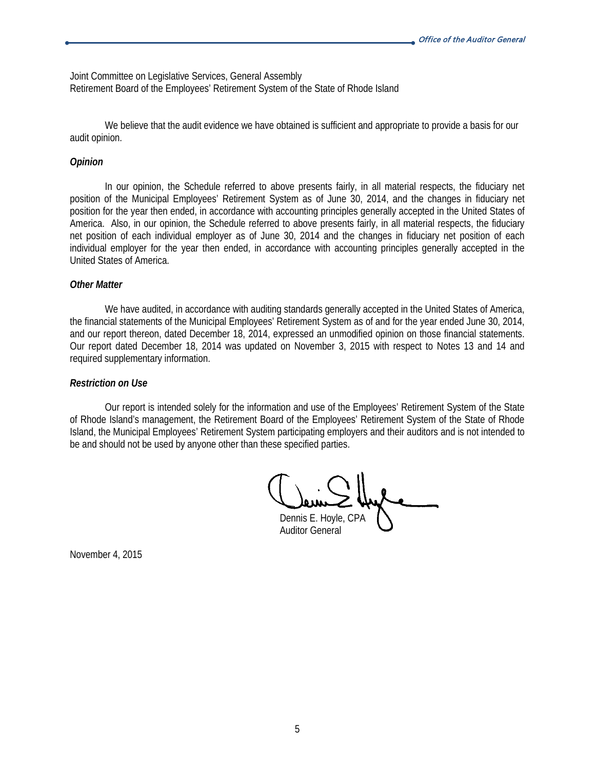Joint Committee on Legislative Services, General Assembly Retirement Board of the Employees' Retirement System of the State of Rhode Island

We believe that the audit evidence we have obtained is sufficient and appropriate to provide a basis for our audit opinion.

#### *Opinion*

In our opinion, the Schedule referred to above presents fairly, in all material respects, the fiduciary net position of the Municipal Employees' Retirement System as of June 30, 2014, and the changes in fiduciary net position for the year then ended, in accordance with accounting principles generally accepted in the United States of America. Also, in our opinion, the Schedule referred to above presents fairly, in all material respects, the fiduciary net position of each individual employer as of June 30, 2014 and the changes in fiduciary net position of each individual employer for the year then ended, in accordance with accounting principles generally accepted in the United States of America.

#### *Other Matter*

We have audited, in accordance with auditing standards generally accepted in the United States of America, the financial statements of the Municipal Employees' Retirement System as of and for the year ended June 30, 2014, and our report thereon, dated December 18, 2014, expressed an unmodified opinion on those financial statements. Our report dated December 18, 2014 was updated on November 3, 2015 with respect to Notes 13 and 14 and required supplementary information.

#### *Restriction on Use*

Our report is intended solely for the information and use of the Employees' Retirement System of the State of Rhode Island's management, the Retirement Board of the Employees' Retirement System of the State of Rhode Island, the Municipal Employees' Retirement System participating employers and their auditors and is not intended to be and should not be used by anyone other than these specified parties.

Dennis E. Hoyle, CPA Auditor General

November 4, 2015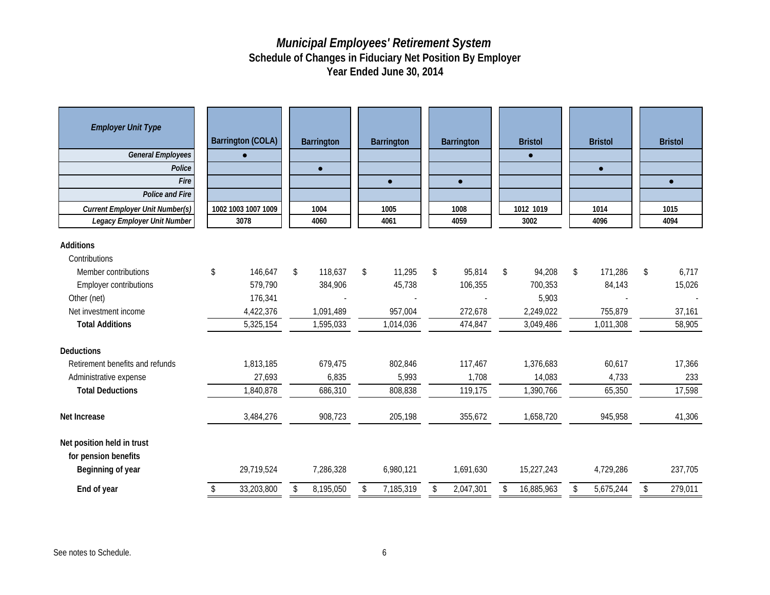| <b>Employer Unit Type</b>                                               | <b>Barrington (COLA)</b> | <b>Barrington</b> | <b>Barrington</b> | <b>Barrington</b> | <b>Bristol</b>   | <b>Bristol</b>  | <b>Bristol</b> |
|-------------------------------------------------------------------------|--------------------------|-------------------|-------------------|-------------------|------------------|-----------------|----------------|
| <b>General Employees</b>                                                | $\bullet$                |                   |                   |                   | $\bullet$        |                 |                |
| Police                                                                  |                          | $\bullet$         |                   |                   |                  | $\bullet$       |                |
| Fire                                                                    |                          |                   | $\bullet$         | $\bullet$         |                  |                 | $\bullet$      |
| <b>Police and Fire</b>                                                  |                          |                   |                   |                   |                  |                 |                |
| <b>Current Employer Unit Number(s)</b>                                  | 1002 1003 1007 1009      | 1004              | 1005              | 1008              | 1012 1019        | 1014            | 1015           |
| Legacy Employer Unit Number                                             | 3078                     | 4060              | 4061              | 4059              | 3002             | 4096            | 4094           |
| Additions                                                               |                          |                   |                   |                   |                  |                 |                |
| Contributions                                                           |                          |                   |                   |                   |                  |                 |                |
| Member contributions                                                    | \$<br>146,647            | \$<br>118,637     | \$<br>11,295      | \$<br>95,814      | \$<br>94,208     | \$<br>171,286   | \$<br>6,717    |
| Employer contributions                                                  | 579,790                  | 384,906           | 45,738            | 106,355           | 700,353          | 84,143          | 15,026         |
| Other (net)                                                             | 176,341                  |                   |                   |                   | 5,903            |                 |                |
| Net investment income                                                   | 4,422,376                | 1,091,489         | 957,004           | 272.678           | 2,249,022        | 755,879         | 37.161         |
| <b>Total Additions</b>                                                  | 5,325,154                | 1,595,033         | 1,014,036         | 474,847           | 3,049,486        | 1,011,308       | 58,905         |
| <b>Deductions</b>                                                       |                          |                   |                   |                   |                  |                 |                |
| Retirement benefits and refunds                                         | 1,813,185                | 679,475           | 802,846           | 117,467           | 1,376,683        | 60,617          | 17,366         |
| Administrative expense                                                  | 27,693                   | 6,835             | 5,993             | 1,708             | 14,083           | 4,733           | 233            |
| <b>Total Deductions</b>                                                 | 1,840,878                | 686,310           | 808,838           | 119,175           | 1,390,766        | 65,350          | 17,598         |
| Net Increase                                                            | 3,484,276                | 908,723           | 205,198           | 355,672           | 1,658,720        | 945,958         | 41,306         |
| Net position held in trust<br>for pension benefits<br>Beginning of year | 29,719,524               | 7,286,328         | 6,980,121         | 1,691,630         | 15,227,243       | 4,729,286       | 237,705        |
| End of year                                                             | \$<br>33,203,800         | \$<br>8,195,050   | \$<br>7,185,319   | \$<br>2,047,301   | \$<br>16,885,963 | \$<br>5,675,244 | \$<br>279,011  |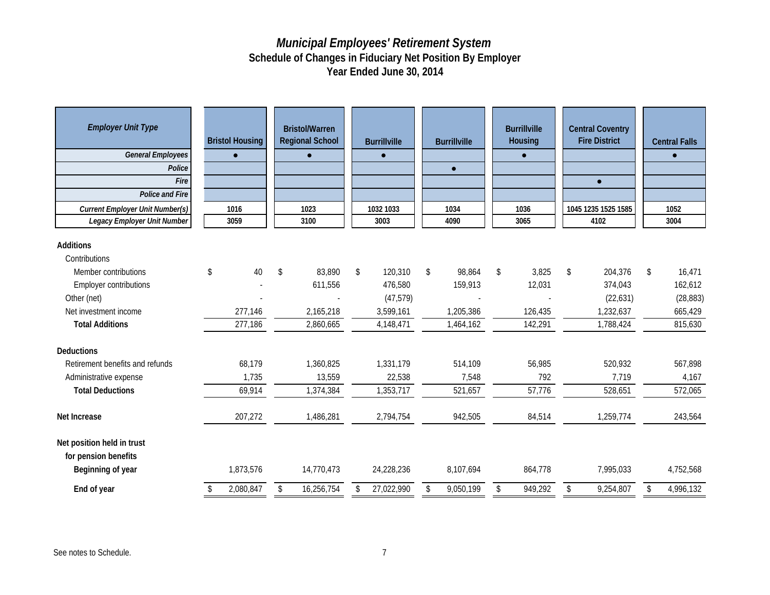| <b>Employer Unit Type</b><br><b>General Employees</b><br>Police<br>Fire<br><b>Police and Fire</b> |    | <b>Bristol Housing</b><br>$\bullet$ | <b>Bristol/Warren</b><br><b>Regional School</b><br>$\bullet$ | <b>Burrillville</b><br>$\bullet$ | <b>Burrillville</b><br>$\bullet$ | <b>Burrillville</b><br>Housing | <b>Central Coventry</b><br><b>Fire District</b><br>$\bullet$ | <b>Central Falls</b><br>$\bullet$ |
|---------------------------------------------------------------------------------------------------|----|-------------------------------------|--------------------------------------------------------------|----------------------------------|----------------------------------|--------------------------------|--------------------------------------------------------------|-----------------------------------|
| <b>Current Employer Unit Number(s)</b>                                                            |    | 1016                                | 1023                                                         | 1032 1033                        | 1034                             | 1036                           | 1045 1235 1525 1585                                          | 1052                              |
| Legacy Employer Unit Number                                                                       |    | 3059                                | 3100                                                         | 3003                             | 4090                             | 3065                           | 4102                                                         | 3004                              |
| <b>Additions</b><br>Contributions                                                                 |    |                                     |                                                              |                                  |                                  |                                |                                                              |                                   |
| Member contributions                                                                              | \$ | 40                                  | \$<br>83,890                                                 | \$<br>120,310                    | \$<br>98,864                     | \$<br>3,825                    | \$<br>204,376                                                | \$<br>16,471                      |
| <b>Employer contributions</b>                                                                     |    |                                     | 611,556                                                      | 476,580                          | 159,913                          | 12,031                         | 374,043                                                      | 162,612                           |
| Other (net)                                                                                       |    |                                     |                                                              | (47, 579)                        |                                  |                                | (22, 631)                                                    | (28, 883)                         |
| Net investment income                                                                             |    | 277.146                             | 2.165.218                                                    | 3.599.161                        | 1.205.386                        | 126,435                        | 1,232,637                                                    | 665,429                           |
| <b>Total Additions</b>                                                                            |    | 277,186                             | 2,860,665                                                    | 4,148,471                        | 1,464,162                        | 142,291                        | 1,788,424                                                    | 815,630                           |
| <b>Deductions</b>                                                                                 |    |                                     |                                                              |                                  |                                  |                                |                                                              |                                   |
| Retirement benefits and refunds                                                                   |    | 68,179                              | 1,360,825                                                    | 1,331,179                        | 514,109                          | 56,985                         | 520,932                                                      | 567,898                           |
| Administrative expense                                                                            |    | 1,735                               | 13,559                                                       | 22,538                           | 7,548                            | 792                            | 7,719                                                        | 4,167                             |
| <b>Total Deductions</b>                                                                           |    | 69,914                              | 1,374,384                                                    | 1,353,717                        | 521,657                          | 57,776                         | 528,651                                                      | 572,065                           |
| Net Increase                                                                                      |    | 207,272                             | 1,486,281                                                    | 2,794,754                        | 942,505                          | 84,514                         | 1,259,774                                                    | 243,564                           |
| Net position held in trust<br>for pension benefits<br>Beginning of year                           |    | 1,873,576                           | 14,770,473                                                   | 24,228,236                       | 8,107,694                        | 864,778                        | 7,995,033                                                    | 4,752,568                         |
| End of year                                                                                       | S. | 2,080,847                           | \$<br>16,256,754                                             | \$<br>27,022,990                 | \$<br>9,050,199                  | \$<br>949,292                  | \$<br>9,254,807                                              | \$<br>4,996,132                   |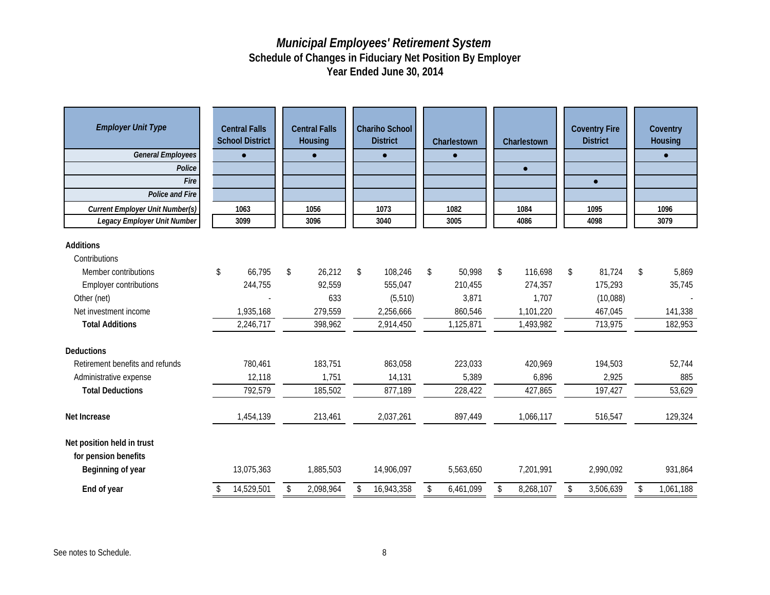| <b>Employer Unit Type</b><br><b>General Employees</b><br>Police<br>Fire<br>Police and Fire<br><b>Current Employer Unit Number(s)</b><br><b>Legacy Employer Unit Number</b> | <b>Central Falls</b><br><b>School District</b><br>$\bullet$<br>1063<br>3099 | <b>Central Falls</b><br>Housing<br>$\bullet$<br>1056<br>3096 | <b>Chariho School</b><br><b>District</b><br>$\bullet$<br>1073<br>3040 | Charlestown<br>$\bullet$<br>1082<br>3005 | Charlestown<br>$\bullet$<br>1084<br>4086 | <b>Coventry Fire</b><br><b>District</b><br>$\bullet$<br>1095<br>4098 | Coventry<br>Housing<br>$\bullet$<br>1096<br>3079 |
|----------------------------------------------------------------------------------------------------------------------------------------------------------------------------|-----------------------------------------------------------------------------|--------------------------------------------------------------|-----------------------------------------------------------------------|------------------------------------------|------------------------------------------|----------------------------------------------------------------------|--------------------------------------------------|
| <b>Additions</b>                                                                                                                                                           |                                                                             |                                                              |                                                                       |                                          |                                          |                                                                      |                                                  |
| Contributions                                                                                                                                                              |                                                                             |                                                              |                                                                       |                                          |                                          |                                                                      |                                                  |
| Member contributions                                                                                                                                                       | \$<br>66,795                                                                | \$<br>26,212                                                 | \$<br>108,246                                                         | \$<br>50,998                             | \$<br>116,698                            | \$<br>81,724                                                         | \$<br>5,869                                      |
| <b>Employer contributions</b>                                                                                                                                              | 244,755                                                                     | 92,559                                                       | 555,047                                                               | 210,455                                  | 274,357                                  | 175,293                                                              | 35,745                                           |
| Other (net)                                                                                                                                                                |                                                                             | 633                                                          | (5, 510)                                                              | 3,871                                    | 1,707                                    | (10,088)                                                             |                                                  |
| Net investment income                                                                                                                                                      | 1,935,168                                                                   | 279,559                                                      | 2,256,666                                                             | 860,546                                  | 1,101,220                                | 467,045                                                              | 141,338                                          |
| <b>Total Additions</b>                                                                                                                                                     | 2,246,717                                                                   | 398,962                                                      | 2,914,450                                                             | 1,125,871                                | 1,493,982                                | 713,975                                                              | 182,953                                          |
| Deductions                                                                                                                                                                 |                                                                             |                                                              |                                                                       |                                          |                                          |                                                                      |                                                  |
| Retirement benefits and refunds                                                                                                                                            | 780,461                                                                     | 183,751                                                      | 863,058                                                               | 223,033                                  | 420,969                                  | 194,503                                                              | 52,744                                           |
| Administrative expense                                                                                                                                                     | 12,118                                                                      | 1,751                                                        | 14,131                                                                | 5,389                                    | 6,896                                    | 2,925                                                                | 885                                              |
| <b>Total Deductions</b>                                                                                                                                                    | 792,579                                                                     | 185,502                                                      | 877,189                                                               | 228,422                                  | 427,865                                  | 197,427                                                              | 53,629                                           |
| Net Increase                                                                                                                                                               | 1,454,139                                                                   | 213,461                                                      | 2,037,261                                                             | 897,449                                  | 1,066,117                                | 516,547                                                              | 129,324                                          |
| Net position held in trust<br>for pension benefits<br>Beginning of year                                                                                                    | 13,075,363                                                                  | 1,885,503                                                    | 14,906,097                                                            | 5,563,650                                | 7,201,991                                | 2,990,092                                                            | 931,864                                          |
| End of year                                                                                                                                                                | 14,529,501                                                                  | \$<br>2,098,964                                              | \$<br>16,943,358                                                      | \$<br>6,461,099                          | \$<br>8,268,107                          | \$<br>3,506,639                                                      | \$<br>1,061,188                                  |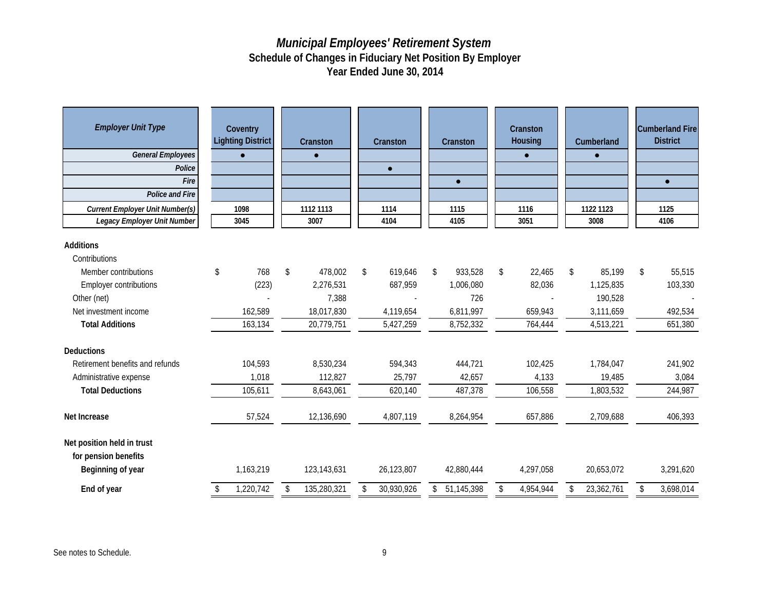| <b>Employer Unit Type</b><br><b>General Employees</b><br>Police<br>Fire<br><b>Police and Fire</b><br><b>Current Employer Unit Number(s)</b><br><b>Legacy Employer Unit Number</b> | Coventry<br><b>Lighting District</b><br>$\bullet$<br>1098<br>3045 | Cranston<br>1112 1113<br>3007 | Cranston<br>$\bullet$<br>1114<br>4104 | Cranston<br>$\bullet$<br>1115<br>4105 | Cranston<br>Housing<br>$\bullet$<br>1116<br>3051 |    | Cumberland<br>$\bullet$<br>1122 1123<br>3008 | <b>Cumberland Fire</b><br><b>District</b><br>$\bullet$<br>1125<br>4106 |
|-----------------------------------------------------------------------------------------------------------------------------------------------------------------------------------|-------------------------------------------------------------------|-------------------------------|---------------------------------------|---------------------------------------|--------------------------------------------------|----|----------------------------------------------|------------------------------------------------------------------------|
|                                                                                                                                                                                   |                                                                   |                               |                                       |                                       |                                                  |    |                                              |                                                                        |
| Additions                                                                                                                                                                         |                                                                   |                               |                                       |                                       |                                                  |    |                                              |                                                                        |
| Contributions                                                                                                                                                                     |                                                                   |                               |                                       |                                       |                                                  |    |                                              |                                                                        |
| Member contributions                                                                                                                                                              | 768<br>\$                                                         | \$<br>478,002                 | \$<br>619,646                         | \$<br>933,528                         | \$<br>22,465                                     | \$ | 85,199                                       | \$<br>55,515                                                           |
| <b>Employer contributions</b>                                                                                                                                                     | (223)                                                             | 2,276,531                     | 687,959                               | 1,006,080                             | 82,036                                           |    | 1,125,835                                    | 103,330                                                                |
| Other (net)                                                                                                                                                                       |                                                                   | 7,388                         |                                       | 726                                   |                                                  |    | 190,528                                      |                                                                        |
| Net investment income                                                                                                                                                             | 162,589                                                           | 18,017,830                    | 4,119,654                             | 6,811,997                             | 659,943                                          |    | 3,111,659                                    | 492,534                                                                |
| <b>Total Additions</b>                                                                                                                                                            | 163,134                                                           | 20,779,751                    | 5,427,259                             | 8,752,332                             | 764,444                                          |    | 4,513,221                                    | 651,380                                                                |
| <b>Deductions</b>                                                                                                                                                                 |                                                                   |                               |                                       |                                       |                                                  |    |                                              |                                                                        |
| Retirement benefits and refunds                                                                                                                                                   | 104,593                                                           | 8,530,234                     | 594,343                               | 444,721                               | 102,425                                          |    | 1,784,047                                    | 241,902                                                                |
| Administrative expense                                                                                                                                                            | 1,018                                                             | 112,827                       | 25,797                                | 42,657                                | 4,133                                            |    | 19,485                                       | 3,084                                                                  |
| <b>Total Deductions</b>                                                                                                                                                           | 105,611                                                           | 8,643,061                     | 620,140                               | 487,378                               | 106,558                                          |    | 1,803,532                                    | 244,987                                                                |
| Net Increase                                                                                                                                                                      | 57,524                                                            | 12,136,690                    | 4,807,119                             | 8,264,954                             | 657,886                                          |    | 2,709,688                                    | 406,393                                                                |
| Net position held in trust<br>for pension benefits<br>Beginning of year                                                                                                           | 1,163,219                                                         | 123,143,631                   | 26,123,807                            | 42,880,444                            | 4,297,058                                        |    | 20,653,072                                   | 3,291,620                                                              |
| End of year                                                                                                                                                                       | 1,220,742                                                         | \$<br>135,280,321             | \$<br>30,930,926                      | \$<br>51,145,398                      | \$<br>4,954,944                                  | Ŝ. | 23,362,761                                   | \$<br>3,698,014                                                        |
|                                                                                                                                                                                   |                                                                   |                               |                                       |                                       |                                                  |    |                                              |                                                                        |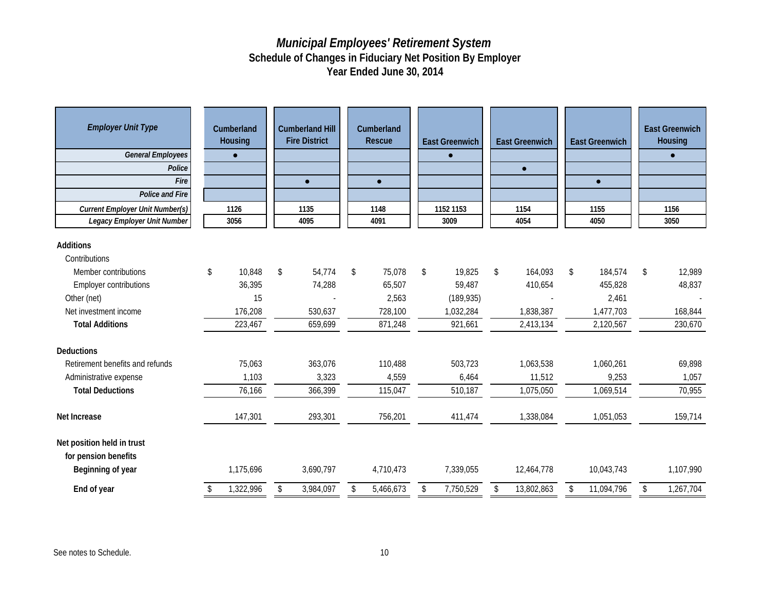| <b>Employer Unit Type</b><br><b>General Employees</b><br>Police<br>Fire<br><b>Police and Fire</b>                                  | Cumberland<br>Housing<br>$\bullet$<br><b>Current Employer Unit Number(s)</b><br>1126<br>3056 |                                   | <b>Cumberland Hill</b><br><b>Fire District</b><br>$\bullet$ | Cumberland<br>Rescue<br>$\bullet$          | <b>East Greenwich</b><br>$\bullet$                | <b>East Greenwich</b><br>$\bullet$    | <b>East Greenwich</b><br>$\bullet$             | <b>East Greenwich</b><br>Housing<br>$\bullet$ |
|------------------------------------------------------------------------------------------------------------------------------------|----------------------------------------------------------------------------------------------|-----------------------------------|-------------------------------------------------------------|--------------------------------------------|---------------------------------------------------|---------------------------------------|------------------------------------------------|-----------------------------------------------|
| Legacy Employer Unit Number                                                                                                        |                                                                                              |                                   | 1135<br>4095                                                | 1148<br>4091                               | 1152 1153<br>3009                                 | 1154<br>4054                          | 1155<br>4050                                   | 1156<br>3050                                  |
| <b>Additions</b><br>Contributions<br>Member contributions<br><b>Employer contributions</b><br>Other (net)<br>Net investment income | \$                                                                                           | 10,848<br>36,395<br>15<br>176,208 | \$<br>54,774<br>74,288<br>530,637                           | \$<br>75,078<br>65,507<br>2,563<br>728,100 | \$<br>19,825<br>59,487<br>(189, 935)<br>1,032,284 | \$<br>164,093<br>410,654<br>1,838,387 | \$<br>184,574<br>455,828<br>2,461<br>1,477,703 | \$<br>12,989<br>48,837<br>168,844             |
| <b>Total Additions</b>                                                                                                             |                                                                                              | 223,467                           | 659,699                                                     | 871,248                                    | 921,661                                           | 2,413,134                             | 2,120,567                                      | 230,670                                       |
| <b>Deductions</b><br>Retirement benefits and refunds<br>Administrative expense<br><b>Total Deductions</b>                          |                                                                                              | 75,063<br>1,103<br>76,166         | 363,076<br>3,323<br>366,399                                 | 110,488<br>4,559<br>115,047                | 503,723<br>6,464<br>510,187                       | 1,063,538<br>11,512<br>1,075,050      | 1,060,261<br>9,253<br>1,069,514                | 69,898<br>1,057<br>70,955                     |
| Net Increase                                                                                                                       |                                                                                              | 147,301                           | 293,301                                                     | 756,201                                    | 411,474                                           | 1,338,084                             | 1,051,053                                      | 159,714                                       |
| Net position held in trust<br>for pension benefits<br>Beginning of year                                                            |                                                                                              | 1,175,696                         | 3,690,797                                                   | 4,710,473                                  | 7,339,055                                         | 12,464,778                            | 10,043,743                                     | 1,107,990                                     |
| End of year                                                                                                                        |                                                                                              | 1,322,996                         | \$<br>3,984,097                                             | \$<br>5,466,673                            | \$<br>7,750,529                                   | \$<br>13,802,863                      | \$<br>11,094,796                               | \$<br>1,267,704                               |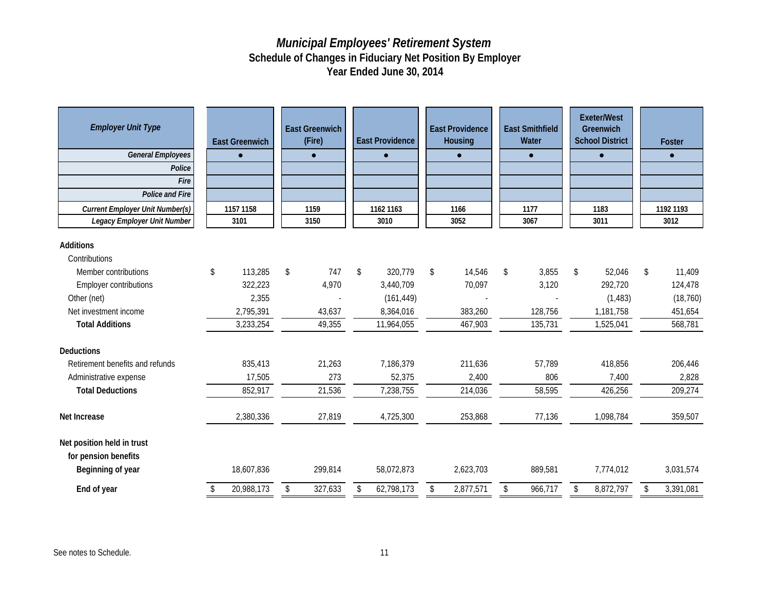| <b>Employer Unit Type</b><br><b>General Employees</b><br>Police<br>Fire<br><b>Police and Fire</b><br><b>Current Employer Unit Number(s)</b><br>Legacy Employer Unit Number | <b>East Greenwich</b><br>$\bullet$<br>1157 1158<br>3101 | <b>East Greenwich</b><br>(Fire)<br>$\bullet$<br>1159<br>3150 | <b>East Providence</b><br>$\bullet$<br>1162 1163<br>3010 | <b>East Providence</b><br>Housing<br>$\bullet$<br>1166<br>3052 | <b>East Smithfield</b><br>Water<br>$\bullet$<br>1177<br>3067 | <b>Exeter/West</b><br>Greenwich<br><b>School District</b><br>$\bullet$<br>1183<br>3011 | Foster<br>$\bullet$<br>1192 1193<br>3012 |
|----------------------------------------------------------------------------------------------------------------------------------------------------------------------------|---------------------------------------------------------|--------------------------------------------------------------|----------------------------------------------------------|----------------------------------------------------------------|--------------------------------------------------------------|----------------------------------------------------------------------------------------|------------------------------------------|
|                                                                                                                                                                            |                                                         |                                                              |                                                          |                                                                |                                                              |                                                                                        |                                          |
| <b>Additions</b>                                                                                                                                                           |                                                         |                                                              |                                                          |                                                                |                                                              |                                                                                        |                                          |
| Contributions                                                                                                                                                              |                                                         |                                                              |                                                          |                                                                |                                                              |                                                                                        |                                          |
| Member contributions                                                                                                                                                       | \$<br>113,285                                           | 747<br>\$                                                    | 320,779<br>\$                                            | \$<br>14,546                                                   | \$<br>3,855                                                  | 52,046<br>\$                                                                           | 11,409<br>\$                             |
| <b>Employer contributions</b>                                                                                                                                              | 322,223                                                 | 4,970                                                        | 3,440,709                                                | 70,097                                                         | 3,120                                                        | 292,720                                                                                | 124,478                                  |
| Other (net)                                                                                                                                                                | 2,355                                                   |                                                              | (161, 449)                                               |                                                                |                                                              | (1, 483)                                                                               | (18, 760)                                |
| Net investment income                                                                                                                                                      | 2,795,391                                               | 43,637                                                       | 8,364,016                                                | 383,260                                                        | 128,756                                                      | 1,181,758                                                                              | 451,654                                  |
| <b>Total Additions</b>                                                                                                                                                     | 3,233,254                                               | 49,355                                                       | 11,964,055                                               | 467,903                                                        | 135,731                                                      | 1,525,041                                                                              | 568,781                                  |
| Deductions                                                                                                                                                                 |                                                         |                                                              |                                                          |                                                                |                                                              |                                                                                        |                                          |
| Retirement benefits and refunds                                                                                                                                            | 835,413                                                 | 21,263                                                       | 7,186,379                                                | 211,636                                                        | 57,789                                                       | 418,856                                                                                | 206,446                                  |
| Administrative expense                                                                                                                                                     | 17,505                                                  | 273                                                          | 52,375                                                   | 2,400                                                          | 806                                                          | 7,400                                                                                  | 2,828                                    |
| <b>Total Deductions</b>                                                                                                                                                    | 852,917                                                 | 21,536                                                       | 7,238,755                                                | 214,036                                                        | 58,595                                                       | 426,256                                                                                | 209,274                                  |
| Net Increase                                                                                                                                                               | 2,380,336                                               | 27,819                                                       | 4,725,300                                                | 253,868                                                        | 77,136                                                       | 1,098,784                                                                              | 359,507                                  |
| Net position held in trust<br>for pension benefits<br>Beginning of year                                                                                                    | 18,607,836                                              | 299,814                                                      | 58,072,873                                               | 2,623,703                                                      | 889,581                                                      | 7,774,012                                                                              | 3,031,574                                |
| End of year                                                                                                                                                                | 20,988,173<br>S                                         | 327,633<br>\$                                                | 62,798,173<br>\$                                         | 2,877,571<br>\$                                                | \$<br>966,717                                                | 8,872,797<br>\$                                                                        | 3,391,081<br>\$                          |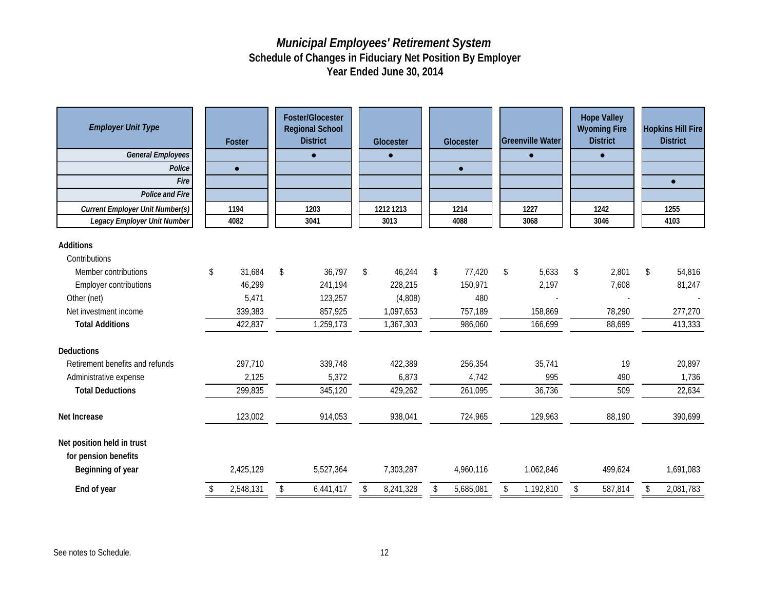| <b>Employer Unit Type</b><br><b>General Employees</b><br>Police<br>Fire<br>Police and Fire<br><b>Current Employer Unit Number(s)</b><br>Legacy Employer Unit Number |    | Foster<br>$\bullet$<br>1194<br>4082 | <b>Foster/Glocester</b><br><b>Regional School</b><br><b>District</b><br>$\bullet$<br>1203<br>3041 | Glocester<br>$\bullet$<br>1212 1213<br>3013 | Glocester<br>$\bullet$<br>1214<br>4088 | <b>Greenville Water</b><br>$\bullet$<br>1227<br>3068 | <b>Hope Valley</b><br><b>Wyoming Fire</b><br><b>District</b><br>$\bullet$<br>1242<br>3046 |    | <b>Hopkins Hill Fire</b><br><b>District</b><br>$\bullet$<br>1255<br>4103 |
|---------------------------------------------------------------------------------------------------------------------------------------------------------------------|----|-------------------------------------|---------------------------------------------------------------------------------------------------|---------------------------------------------|----------------------------------------|------------------------------------------------------|-------------------------------------------------------------------------------------------|----|--------------------------------------------------------------------------|
| Additions                                                                                                                                                           |    |                                     |                                                                                                   |                                             |                                        |                                                      |                                                                                           |    |                                                                          |
| Contributions                                                                                                                                                       |    |                                     |                                                                                                   |                                             |                                        |                                                      |                                                                                           |    |                                                                          |
| Member contributions                                                                                                                                                | \$ | 31,684                              | \$<br>36,797                                                                                      | \$<br>46,244                                | \$<br>77,420                           | \$<br>5,633                                          | \$<br>2,801                                                                               | \$ | 54,816                                                                   |
| <b>Employer contributions</b>                                                                                                                                       |    | 46,299                              | 241,194                                                                                           | 228,215                                     | 150,971                                | 2,197                                                | 7,608                                                                                     |    | 81,247                                                                   |
| Other (net)                                                                                                                                                         |    | 5,471                               | 123,257                                                                                           | (4,808)                                     | 480                                    |                                                      |                                                                                           |    |                                                                          |
| Net investment income                                                                                                                                               |    | 339,383                             | 857,925                                                                                           | 1,097,653                                   | 757,189                                | 158,869                                              | 78,290                                                                                    |    | 277,270                                                                  |
| <b>Total Additions</b>                                                                                                                                              |    | 422,837                             | 1,259,173                                                                                         | 1,367,303                                   | 986,060                                | 166,699                                              | 88,699                                                                                    |    | 413,333                                                                  |
| <b>Deductions</b>                                                                                                                                                   |    |                                     |                                                                                                   |                                             |                                        |                                                      |                                                                                           |    |                                                                          |
| Retirement benefits and refunds                                                                                                                                     |    | 297,710                             | 339,748                                                                                           | 422,389                                     | 256,354                                | 35,741                                               | 19                                                                                        |    | 20,897                                                                   |
| Administrative expense                                                                                                                                              |    | 2,125                               | 5,372                                                                                             | 6,873                                       | 4,742                                  | 995                                                  | 490                                                                                       |    | 1,736                                                                    |
| <b>Total Deductions</b>                                                                                                                                             |    | 299,835                             | 345,120                                                                                           | 429,262                                     | 261,095                                | 36,736                                               | 509                                                                                       |    | 22,634                                                                   |
| Net Increase                                                                                                                                                        |    | 123,002                             | 914,053                                                                                           | 938,041                                     | 724,965                                | 129,963                                              | 88,190                                                                                    |    | 390,699                                                                  |
| Net position held in trust<br>for pension benefits<br>Beginning of year                                                                                             |    | 2,425,129                           | 5,527,364                                                                                         | 7,303,287                                   | 4,960,116                              | 1,062,846                                            | 499,624                                                                                   |    | 1,691,083                                                                |
| End of year                                                                                                                                                         | S. | 2,548,131                           | \$<br>6,441,417                                                                                   | \$<br>8,241,328                             | \$<br>5,685,081                        | \$<br>1,192,810                                      | \$<br>587,814                                                                             | \$ | 2,081,783                                                                |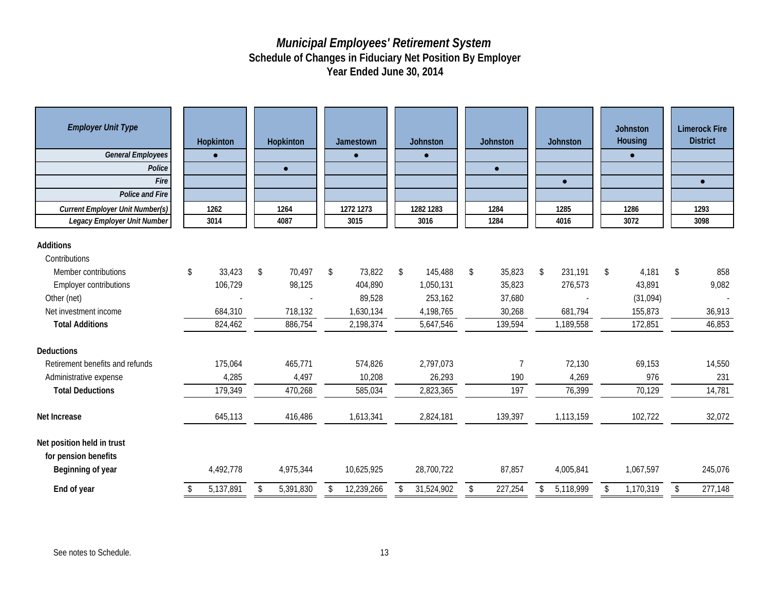| <b>Employer Unit Type</b><br><b>General Employees</b><br>Police<br>Fire<br>Police and Fire<br><b>Current Employer Unit Number(s)</b><br>Legacy Employer Unit Number | Hopkinton<br>$\bullet$<br>1262<br>3014 | Hopkinton<br>$\bullet$<br>1264<br>4087 |    | Jamestown<br>$\bullet$<br>1272 1273<br>3015 | <b>Johnston</b><br>$\bullet$<br>1282 1283<br>3016 | <b>Johnston</b><br>$\bullet$<br>1284<br>1284 |    | Johnston<br>$\bullet$<br>1285<br>4016 | <b>Johnston</b><br>Housing<br>$\bullet$<br>1286<br>3072 | <b>Limerock Fire</b><br><b>District</b><br>$\bullet$<br>1293<br>3098 |
|---------------------------------------------------------------------------------------------------------------------------------------------------------------------|----------------------------------------|----------------------------------------|----|---------------------------------------------|---------------------------------------------------|----------------------------------------------|----|---------------------------------------|---------------------------------------------------------|----------------------------------------------------------------------|
| <b>Additions</b>                                                                                                                                                    |                                        |                                        |    |                                             |                                                   |                                              |    |                                       |                                                         |                                                                      |
| Contributions                                                                                                                                                       |                                        |                                        |    |                                             |                                                   |                                              |    |                                       |                                                         |                                                                      |
| Member contributions                                                                                                                                                | \$<br>33,423                           | \$<br>70,497                           | \$ | 73,822                                      | \$<br>145,488                                     | \$<br>35,823                                 | \$ | 231,191                               | \$<br>4,181                                             | \$<br>858                                                            |
| <b>Employer contributions</b>                                                                                                                                       | 106,729                                | 98,125                                 |    | 404,890                                     | 1,050,131                                         | 35,823                                       |    | 276,573                               | 43,891                                                  | 9,082                                                                |
| Other (net)                                                                                                                                                         |                                        |                                        |    | 89,528                                      | 253,162                                           | 37,680                                       |    | $\overline{a}$                        | (31,094)                                                |                                                                      |
| Net investment income                                                                                                                                               | 684,310                                | 718,132                                |    | 1,630,134                                   | 4,198,765                                         | 30,268                                       |    | 681,794                               | 155,873                                                 | 36,913                                                               |
| <b>Total Additions</b>                                                                                                                                              | 824,462                                | 886,754                                |    | 2,198,374                                   | 5,647,546                                         | 139,594                                      |    | 1,189,558                             | 172,851                                                 | 46,853                                                               |
| <b>Deductions</b>                                                                                                                                                   |                                        |                                        |    |                                             |                                                   |                                              |    |                                       |                                                         |                                                                      |
| Retirement benefits and refunds                                                                                                                                     | 175,064                                | 465,771                                |    | 574,826                                     | 2,797,073                                         | 7                                            |    | 72,130                                | 69,153                                                  | 14,550                                                               |
| Administrative expense                                                                                                                                              | 4,285                                  | 4,497                                  |    | 10,208                                      | 26,293                                            | 190                                          |    | 4,269                                 | 976                                                     | 231                                                                  |
| <b>Total Deductions</b>                                                                                                                                             | 179,349                                | 470,268                                |    | 585,034                                     | 2,823,365                                         | 197                                          |    | 76,399                                | 70,129                                                  | 14,781                                                               |
| Net Increase                                                                                                                                                        | 645,113                                | 416,486                                |    | 1,613,341                                   | 2,824,181                                         | 139,397                                      |    | 1,113,159                             | 102,722                                                 | 32,072                                                               |
| Net position held in trust<br>for pension benefits<br>Beginning of year                                                                                             | 4,492,778                              | 4,975,344                              |    | 10,625,925                                  | 28,700,722                                        | 87,857                                       |    | 4,005,841                             | 1,067,597                                               | 245,076                                                              |
| End of year                                                                                                                                                         | 5,137,891                              | \$<br>5,391,830                        | S. | 12,239,266                                  | \$<br>31,524,902                                  | \$<br>227,254                                | S. | 5,118,999                             | \$<br>1,170,319                                         | \$<br>277,148                                                        |
|                                                                                                                                                                     |                                        |                                        |    |                                             |                                                   |                                              |    |                                       |                                                         |                                                                      |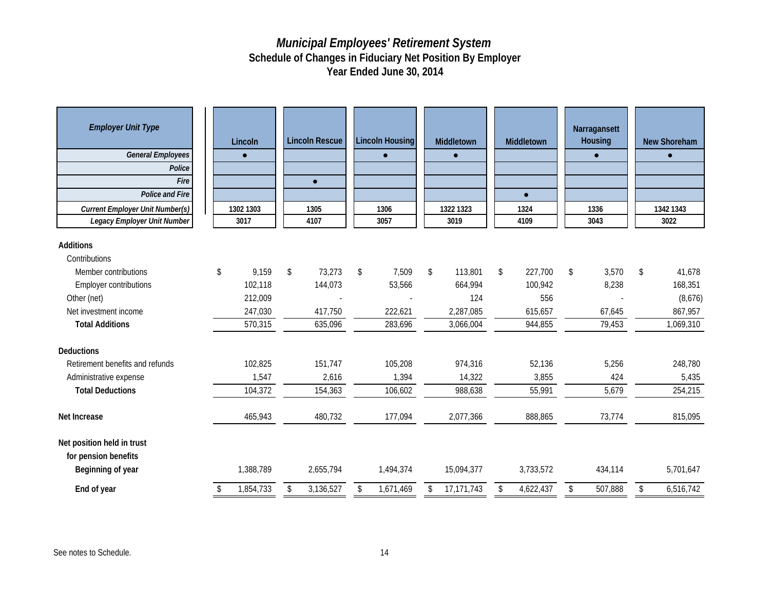| <b>Employer Unit Type</b><br><b>General Employees</b><br>Police<br>Fire<br><b>Police and Fire</b><br><b>Current Employer Unit Number(s)</b><br>Legacy Employer Unit Number | Lincoln<br>$\bullet$<br>1302 1303<br>3017 | <b>Lincoln Rescue</b><br>$\bullet$<br>1305<br>4107 | <b>Lincoln Housing</b><br>$\bullet$<br>1306<br>3057 | Middletown<br>$\bullet$<br>1322 1323<br>3019 | Middletown<br>$\bullet$<br>1324<br>4109 | Narragansett<br>Housing<br>$\bullet$<br>1336<br>3043 |                         | <b>New Shoreham</b><br>$\bullet$<br>1342 1343<br>3022 |
|----------------------------------------------------------------------------------------------------------------------------------------------------------------------------|-------------------------------------------|----------------------------------------------------|-----------------------------------------------------|----------------------------------------------|-----------------------------------------|------------------------------------------------------|-------------------------|-------------------------------------------------------|
| <b>Additions</b>                                                                                                                                                           |                                           |                                                    |                                                     |                                              |                                         |                                                      |                         |                                                       |
| Contributions                                                                                                                                                              |                                           |                                                    |                                                     |                                              |                                         |                                                      |                         |                                                       |
| Member contributions                                                                                                                                                       | \$<br>9,159                               | \$<br>73,273                                       | \$<br>7,509                                         | \$<br>113,801                                | \$<br>227,700                           | \$<br>3,570                                          | \$                      | 41,678                                                |
| <b>Employer contributions</b>                                                                                                                                              | 102,118                                   | 144,073                                            | 53,566                                              | 664,994                                      | 100,942                                 | 8,238                                                |                         | 168,351                                               |
| Other (net)                                                                                                                                                                | 212,009                                   |                                                    |                                                     | 124                                          | 556                                     |                                                      |                         | (8,676)                                               |
| Net investment income                                                                                                                                                      | 247,030                                   | 417,750                                            | 222,621                                             | 2,287,085                                    | 615,657                                 | 67,645                                               |                         | 867,957                                               |
| <b>Total Additions</b>                                                                                                                                                     | 570,315                                   | 635,096                                            | 283,696                                             | 3,066,004                                    | 944,855                                 | 79,453                                               |                         | 1,069,310                                             |
| Deductions                                                                                                                                                                 |                                           |                                                    |                                                     |                                              |                                         |                                                      |                         |                                                       |
| Retirement benefits and refunds                                                                                                                                            | 102,825                                   | 151,747                                            | 105,208                                             | 974,316                                      | 52,136                                  | 5,256                                                |                         | 248,780                                               |
| Administrative expense                                                                                                                                                     | 1,547                                     | 2,616                                              | 1,394                                               | 14,322                                       | 3,855                                   | 424                                                  |                         | 5,435                                                 |
| <b>Total Deductions</b>                                                                                                                                                    | 104,372                                   | 154,363                                            | 106,602                                             | 988,638                                      | 55,991                                  | 5,679                                                |                         | 254,215                                               |
| Net Increase                                                                                                                                                               | 465,943                                   | 480,732                                            | 177,094                                             | 2,077,366                                    | 888,865                                 | 73,774                                               |                         | 815,095                                               |
| Net position held in trust<br>for pension benefits<br>Beginning of year                                                                                                    | 1,388,789                                 | 2,655,794                                          | 1,494,374                                           | 15,094,377                                   | 3,733,572                               | 434,114                                              |                         | 5,701,647                                             |
| End of year                                                                                                                                                                | \$<br>1,854,733                           | \$<br>3,136,527                                    | \$<br>1,671,469                                     | \$<br>17,171,743                             | \$<br>4,622,437                         | \$<br>507,888                                        | $\sqrt[6]{\frac{1}{2}}$ | 6,516,742                                             |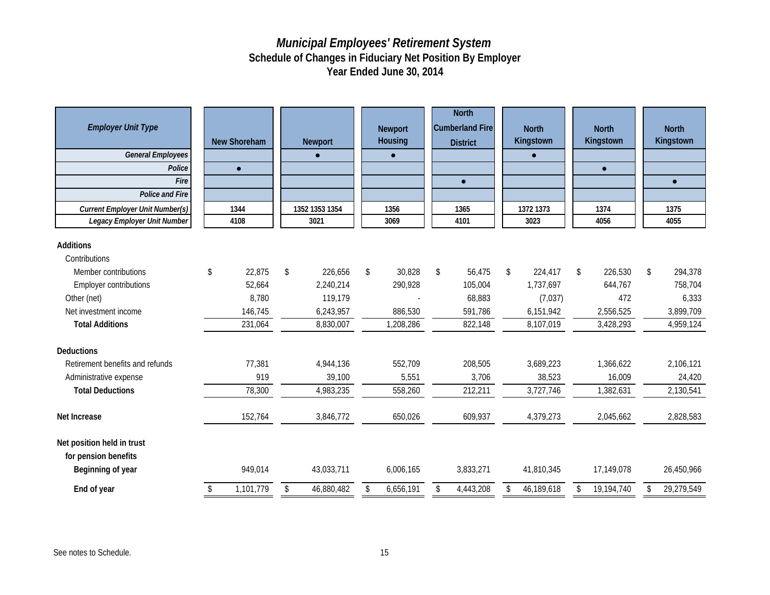| <b>Employer Unit Type</b><br><b>General Employees</b><br>Police<br>Fire<br>Police and Fire<br><b>Current Employer Unit Number(s)</b><br>Legacy Employer Unit Number | <b>New Shoreham</b><br>$\bullet$<br>1344<br>4108 |           | <b>Newport</b><br>1352 1353 1354<br>3021 | <b>Newport</b><br>Housing<br>$\bullet$<br>1356<br>3069 | <b>North</b><br><b>Cumberland Fire</b><br><b>District</b><br>$\bullet$<br>1365<br>4101 | <b>North</b><br>Kingstown<br>$\bullet$<br>1372 1373<br>3023 | <b>North</b><br>Kingstown<br>$\bullet$<br>1374<br>4056 | <b>North</b><br>Kingstown<br>$\bullet$<br>1375<br>4055 |
|---------------------------------------------------------------------------------------------------------------------------------------------------------------------|--------------------------------------------------|-----------|------------------------------------------|--------------------------------------------------------|----------------------------------------------------------------------------------------|-------------------------------------------------------------|--------------------------------------------------------|--------------------------------------------------------|
|                                                                                                                                                                     |                                                  |           |                                          |                                                        |                                                                                        |                                                             |                                                        |                                                        |
| <b>Additions</b>                                                                                                                                                    |                                                  |           |                                          |                                                        |                                                                                        |                                                             |                                                        |                                                        |
| Contributions                                                                                                                                                       |                                                  |           |                                          |                                                        |                                                                                        |                                                             |                                                        |                                                        |
| Member contributions                                                                                                                                                | \$                                               | 22,875    | \$<br>226,656                            | 30,828<br>\$                                           | \$<br>56,475                                                                           | \$<br>224,417                                               | \$<br>226,530                                          | \$<br>294,378                                          |
| <b>Employer contributions</b>                                                                                                                                       |                                                  | 52,664    | 2,240,214                                | 290,928                                                | 105,004                                                                                | 1,737,697                                                   | 644,767                                                | 758,704                                                |
| Other (net)                                                                                                                                                         |                                                  | 8,780     | 119,179                                  |                                                        | 68,883                                                                                 | (7,037)                                                     | 472                                                    | 6,333                                                  |
| Net investment income                                                                                                                                               |                                                  | 146,745   | 6,243,957                                | 886,530                                                | 591,786                                                                                | 6,151,942                                                   | 2,556,525                                              | 3,899,709                                              |
| <b>Total Additions</b>                                                                                                                                              |                                                  | 231,064   | 8,830,007                                | 1,208,286                                              | 822,148                                                                                | 8,107,019                                                   | 3,428,293                                              | 4,959,124                                              |
| <b>Deductions</b>                                                                                                                                                   |                                                  |           |                                          |                                                        |                                                                                        |                                                             |                                                        |                                                        |
| Retirement benefits and refunds                                                                                                                                     |                                                  | 77,381    | 4,944,136                                | 552,709                                                | 208,505                                                                                | 3,689,223                                                   | 1,366,622                                              | 2,106,121                                              |
| Administrative expense                                                                                                                                              |                                                  | 919       | 39,100                                   | 5,551                                                  | 3,706                                                                                  | 38,523                                                      | 16,009                                                 | 24,420                                                 |
| <b>Total Deductions</b>                                                                                                                                             |                                                  | 78,300    | 4,983,235                                | 558,260                                                | 212,211                                                                                | 3,727,746                                                   | 1,382,631                                              | 2,130,541                                              |
| Net Increase                                                                                                                                                        |                                                  | 152,764   | 3,846,772                                | 650,026                                                | 609,937                                                                                | 4,379,273                                                   | 2,045,662                                              | 2,828,583                                              |
| Net position held in trust<br>for pension benefits<br>Beginning of year                                                                                             |                                                  | 949,014   | 43,033,711                               | 6,006,165                                              | 3,833,271                                                                              | 41,810,345                                                  | 17,149,078                                             | 26,450,966                                             |
| End of year                                                                                                                                                         | \$                                               | 1,101,779 | \$<br>46,880,482                         | 6,656,191<br>\$                                        | \$<br>4,443,208                                                                        | \$<br>46,189,618                                            | \$<br>19,194,740                                       | \$<br>29,279,549                                       |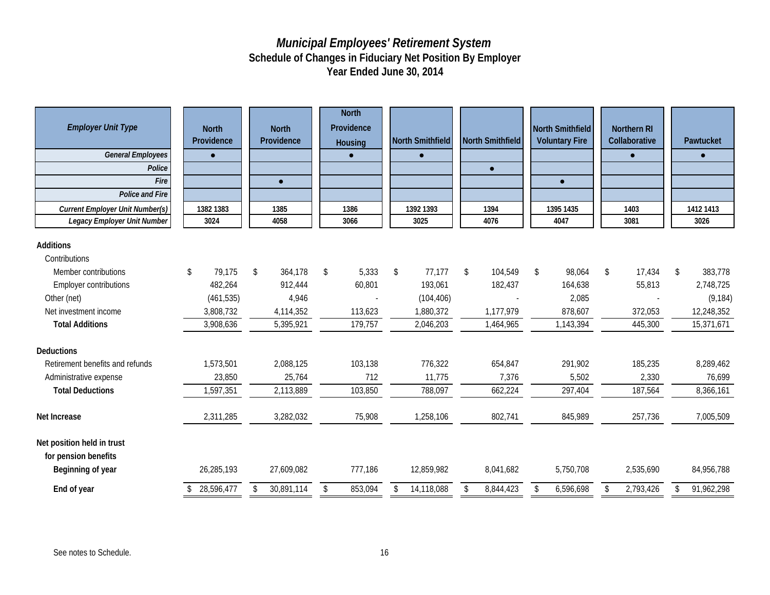| <b>Employer Unit Type</b><br><b>General Employees</b><br>Police<br>Fire<br>Police and Fire<br><b>Current Employer Unit Number(s)</b><br>Legacy Employer Unit Number | <b>North</b><br>Providence<br>$\bullet$<br>1382 1383<br>3024 | <b>North</b><br>Providence<br>$\bullet$<br>1385<br>4058 | <b>North</b><br>Providence<br>Housing<br>1386<br>3066 | <b>North Smithfield</b><br>$\bullet$<br>1392 1393<br>3025 | <b>North Smithfield</b><br>$\bullet$<br>1394<br>4076 | North Smithfield<br><b>Voluntary Fire</b><br>$\bullet$<br>1395 1435<br>4047 | <b>Northern RI</b><br>Collaborative<br>$\bullet$<br>1403<br>3081 | Pawtucket<br>$\bullet$<br>1412 1413<br>3026 |
|---------------------------------------------------------------------------------------------------------------------------------------------------------------------|--------------------------------------------------------------|---------------------------------------------------------|-------------------------------------------------------|-----------------------------------------------------------|------------------------------------------------------|-----------------------------------------------------------------------------|------------------------------------------------------------------|---------------------------------------------|
| Additions                                                                                                                                                           |                                                              |                                                         |                                                       |                                                           |                                                      |                                                                             |                                                                  |                                             |
| Contributions                                                                                                                                                       |                                                              |                                                         |                                                       |                                                           |                                                      |                                                                             |                                                                  |                                             |
| Member contributions                                                                                                                                                | \$<br>79,175                                                 | 364,178<br>\$                                           | 5,333<br>\$                                           | 77,177<br>\$                                              | 104,549<br>\$                                        | 98,064<br>\$                                                                | \$<br>17,434                                                     | 383,778<br>\$                               |
| <b>Employer contributions</b>                                                                                                                                       | 482,264                                                      | 912,444                                                 | 60,801                                                | 193,061                                                   | 182,437                                              | 164,638                                                                     | 55,813                                                           | 2,748,725                                   |
| Other (net)                                                                                                                                                         | (461, 535)                                                   | 4,946                                                   |                                                       | (104, 406)                                                |                                                      | 2,085                                                                       |                                                                  | (9, 184)                                    |
| Net investment income                                                                                                                                               | 3,808,732                                                    | 4,114,352                                               | 113,623                                               | 1,880,372                                                 | 1,177,979                                            | 878,607                                                                     | 372,053                                                          | 12,248,352                                  |
| <b>Total Additions</b>                                                                                                                                              | 3,908,636                                                    | 5,395,921                                               | 179,757                                               | 2,046,203                                                 | 1,464,965                                            | 1,143,394                                                                   | 445,300                                                          | 15,371,671                                  |
| <b>Deductions</b>                                                                                                                                                   |                                                              |                                                         |                                                       |                                                           |                                                      |                                                                             |                                                                  |                                             |
| Retirement benefits and refunds                                                                                                                                     | 1,573,501                                                    | 2,088,125                                               | 103,138                                               | 776,322                                                   | 654,847                                              | 291,902                                                                     | 185,235                                                          | 8,289,462                                   |
| Administrative expense                                                                                                                                              | 23,850                                                       | 25,764                                                  | 712                                                   | 11,775                                                    | 7,376                                                | 5,502                                                                       | 2,330                                                            | 76,699                                      |
| <b>Total Deductions</b>                                                                                                                                             | 1,597,351                                                    | 2,113,889                                               | 103,850                                               | 788,097                                                   | 662,224                                              | 297,404                                                                     | 187,564                                                          | 8,366,161                                   |
| Net Increase                                                                                                                                                        | 2,311,285                                                    | 3,282,032                                               | 75,908                                                | 1,258,106                                                 | 802,741                                              | 845,989                                                                     | 257,736                                                          | 7,005,509                                   |
| Net position held in trust<br>for pension benefits<br>Beginning of year                                                                                             | 26,285,193                                                   | 27,609,082                                              | 777,186                                               | 12,859,982                                                | 8,041,682                                            | 5,750,708                                                                   | 2,535,690                                                        | 84,956,788                                  |
| End of year                                                                                                                                                         | 28,596,477                                                   | 30,891,114                                              | 853,094<br>\$                                         | 14,118,088<br><sup>\$</sup>                               | 8,844,423<br>\$                                      | 6,596,698<br>\$                                                             | 2,793,426<br>\$                                                  | 91,962,298<br>\$                            |
|                                                                                                                                                                     |                                                              |                                                         |                                                       |                                                           |                                                      |                                                                             |                                                                  |                                             |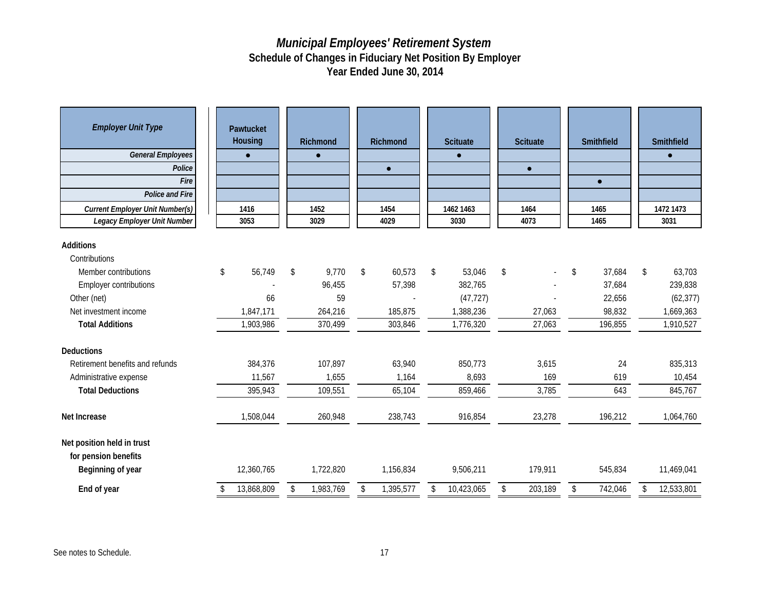| <b>Employer Unit Type</b><br><b>General Employees</b><br>Police<br>Fire<br><b>Police and Fire</b><br><b>Current Employer Unit Number(s)</b><br>Legacy Employer Unit Number | Pawtucket<br>Housing<br>$\bullet$<br>1416<br>3053 | Richmond<br>$\bullet$<br>1452<br>3029 | Richmond<br>$\bullet$<br>1454<br>4029 | <b>Scituate</b><br>$\bullet$<br>1462 1463<br>3030 | <b>Scituate</b><br>$\bullet$<br>1464<br>4073 | Smithfield<br>$\bullet$<br>1465<br>1465 | Smithfield<br>$\bullet$<br>1472 1473<br>3031 |
|----------------------------------------------------------------------------------------------------------------------------------------------------------------------------|---------------------------------------------------|---------------------------------------|---------------------------------------|---------------------------------------------------|----------------------------------------------|-----------------------------------------|----------------------------------------------|
|                                                                                                                                                                            |                                                   |                                       |                                       |                                                   |                                              |                                         |                                              |
| <b>Additions</b>                                                                                                                                                           |                                                   |                                       |                                       |                                                   |                                              |                                         |                                              |
| Contributions                                                                                                                                                              |                                                   |                                       |                                       |                                                   |                                              |                                         |                                              |
| Member contributions                                                                                                                                                       | \$<br>56,749                                      | \$<br>9,770                           | \$<br>60,573                          | \$<br>53,046                                      | $\sqrt[6]{\frac{1}{2}}$<br>$\sim$            | 37,684<br>\$                            | \$<br>63,703                                 |
| <b>Employer contributions</b>                                                                                                                                              |                                                   | 96,455                                | 57,398                                | 382,765                                           |                                              | 37,684                                  | 239,838                                      |
| Other (net)                                                                                                                                                                | 66                                                | 59                                    |                                       | (47, 727)                                         |                                              | 22,656                                  | (62, 377)                                    |
| Net investment income                                                                                                                                                      | 1,847,171                                         | 264,216                               | 185,875                               | 1,388,236                                         | 27,063                                       | 98,832                                  | 1,669,363                                    |
| <b>Total Additions</b>                                                                                                                                                     | 1,903,986                                         | 370,499                               | 303,846                               | 1,776,320                                         | 27,063                                       | 196,855                                 | 1,910,527                                    |
| Deductions                                                                                                                                                                 |                                                   |                                       |                                       |                                                   |                                              |                                         |                                              |
| Retirement benefits and refunds                                                                                                                                            | 384,376                                           | 107,897                               | 63,940                                | 850,773                                           | 3,615                                        | 24                                      | 835,313                                      |
| Administrative expense                                                                                                                                                     | 11,567                                            | 1,655                                 | 1,164                                 | 8,693                                             | 169                                          | 619                                     | 10,454                                       |
| <b>Total Deductions</b>                                                                                                                                                    | 395,943                                           | 109,551                               | 65,104                                | 859,466                                           | 3,785                                        | 643                                     | 845,767                                      |
| Net Increase                                                                                                                                                               | 1,508,044                                         | 260,948                               | 238,743                               | 916,854                                           | 23,278                                       | 196,212                                 | 1,064,760                                    |
| Net position held in trust<br>for pension benefits<br>Beginning of year                                                                                                    | 12,360,765                                        | 1,722,820                             | 1,156,834                             | 9,506,211                                         | 179,911                                      | 545,834                                 | 11,469,041                                   |
| End of year                                                                                                                                                                | 13,868,809<br>\$                                  | 1,983,769<br>\$                       | 1,395,577<br>\$                       | 10,423,065<br>\$                                  | 203,189<br>\$                                | 742,046<br>\$                           | 12,533,801<br>\$                             |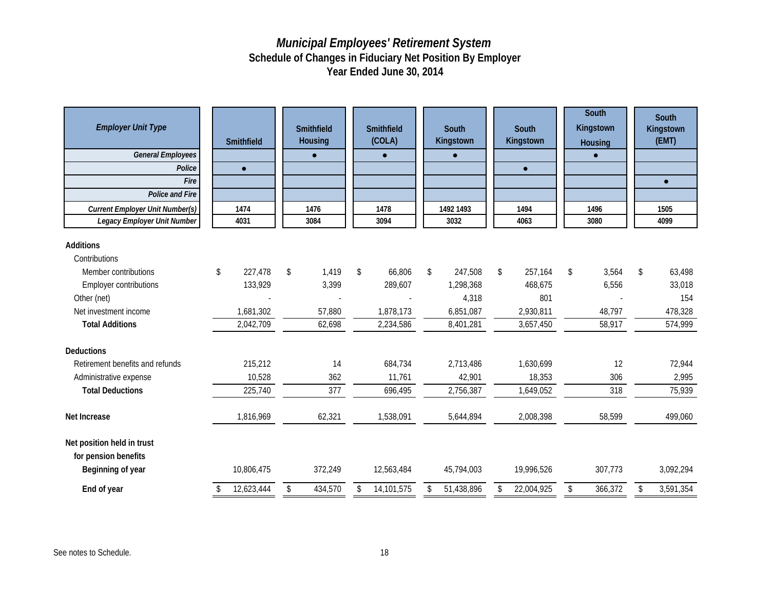| <b>Employer Unit Type</b>                                               | Smithfield    | Smithfield<br><b>Housing</b> | Smithfield<br>(COLA) | South<br>Kingstown | South<br>Kingstown | South<br>Kingstown<br>Housing | South<br>Kingstown<br>(EMT) |
|-------------------------------------------------------------------------|---------------|------------------------------|----------------------|--------------------|--------------------|-------------------------------|-----------------------------|
| <b>General Employees</b><br>Police                                      |               | $\bullet$                    | $\bullet$            | $\bullet$          |                    |                               |                             |
| Fire                                                                    | $\bullet$     |                              |                      |                    | $\bullet$          |                               | $\bullet$                   |
| <b>Police and Fire</b>                                                  |               |                              |                      |                    |                    |                               |                             |
| <b>Current Employer Unit Number(s)</b>                                  | 1474          | 1476                         | 1478                 | 1492 1493          | 1494               | 1496                          | 1505                        |
| Legacy Employer Unit Number                                             | 4031          | 3084                         | 3094                 | 3032               | 4063               | 3080                          | 4099                        |
|                                                                         |               |                              |                      |                    |                    |                               |                             |
| <b>Additions</b>                                                        |               |                              |                      |                    |                    |                               |                             |
| Contributions                                                           |               |                              |                      |                    |                    |                               |                             |
| Member contributions                                                    | \$<br>227,478 | \$<br>1,419                  | \$<br>66,806         | \$<br>247,508      | \$<br>257,164      | \$<br>3,564                   | \$<br>63,498                |
| <b>Employer contributions</b>                                           | 133,929       | 3,399                        | 289,607              | 1,298,368          | 468,675            | 6,556                         | 33,018                      |
| Other (net)                                                             |               |                              |                      | 4,318              | 801                |                               | 154                         |
| Net investment income                                                   | 1,681,302     | 57.880                       | 1,878,173            | 6,851,087          | 2,930,811          | 48.797                        | 478,328                     |
| <b>Total Additions</b>                                                  | 2,042,709     | 62,698                       | 2,234,586            | 8,401,281          | 3,657,450          | 58,917                        | 574,999                     |
| <b>Deductions</b>                                                       |               |                              |                      |                    |                    |                               |                             |
| Retirement benefits and refunds                                         | 215,212       | 14                           | 684,734              | 2,713,486          | 1,630,699          | 12                            | 72,944                      |
| Administrative expense                                                  | 10,528        | 362                          | 11,761               | 42,901             | 18,353             | 306                           | 2,995                       |
| <b>Total Deductions</b>                                                 | 225,740       | 377                          | 696,495              | 2,756,387          | 1,649,052          | 318                           | 75,939                      |
| <b>Net Increase</b>                                                     | 1,816,969     | 62,321                       | 1,538,091            | 5,644,894          | 2,008,398          | 58,599                        | 499,060                     |
| Net position held in trust<br>for pension benefits<br>Beginning of year | 10,806,475    | 372,249                      | 12,563,484           | 45,794,003         | 19,996,526         | 307,773                       | 3,092,294                   |
| End of year                                                             | 12,623,444    | \$<br>434,570                | \$<br>14,101,575     | \$<br>51,438,896   | \$<br>22,004,925   | \$<br>366,372                 | \$<br>3,591,354             |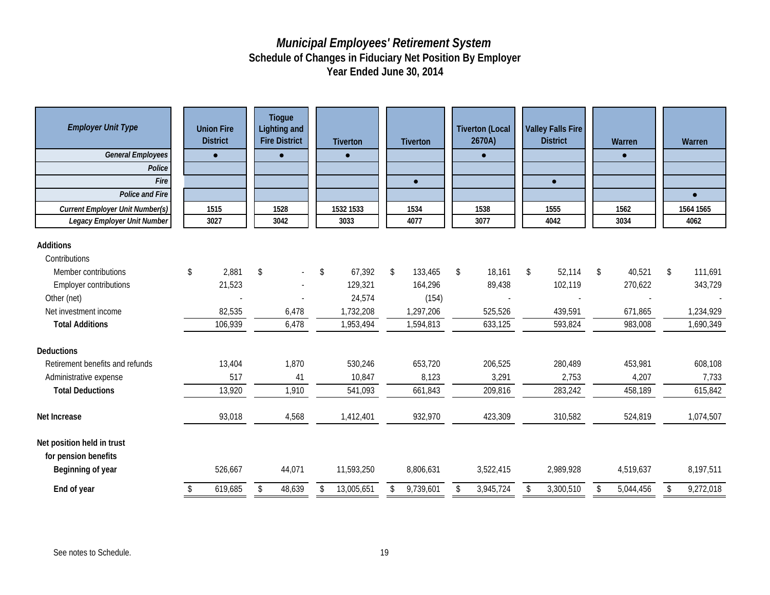| <b>Employer Unit Type</b><br><b>General Employees</b><br>Police<br>Fire<br>Police and Fire<br><b>Current Employer Unit Number(s)</b><br>Legacy Employer Unit Number | <b>Union Fire</b><br><b>District</b><br>$\bullet$<br>1515<br>3027 | Tiogue<br><b>Lighting and</b><br><b>Fire District</b><br>$\bullet$<br>1528<br>3042 | <b>Tiverton</b><br>$\bullet$<br>1532 1533<br>3033 | <b>Tiverton</b><br>$\bullet$<br>1534<br>4077 | <b>Tiverton (Local</b><br>2670A)<br>$\bullet$<br>1538<br>3077 | Valley Falls Fire<br><b>District</b><br>$\bullet$<br>1555<br>4042 | Warren<br>$\bullet$<br>1562<br>3034 | Warren<br>$\bullet$<br>1564 1565<br>4062 |
|---------------------------------------------------------------------------------------------------------------------------------------------------------------------|-------------------------------------------------------------------|------------------------------------------------------------------------------------|---------------------------------------------------|----------------------------------------------|---------------------------------------------------------------|-------------------------------------------------------------------|-------------------------------------|------------------------------------------|
|                                                                                                                                                                     |                                                                   |                                                                                    |                                                   |                                              |                                                               |                                                                   |                                     |                                          |
| Additions                                                                                                                                                           |                                                                   |                                                                                    |                                                   |                                              |                                                               |                                                                   |                                     |                                          |
| Contributions                                                                                                                                                       |                                                                   |                                                                                    |                                                   |                                              |                                                               |                                                                   |                                     |                                          |
| Member contributions                                                                                                                                                | \$<br>2,881                                                       | \$<br>$\omega$                                                                     | \$<br>67,392                                      | \$<br>133,465                                | \$<br>18,161                                                  | \$<br>52,114                                                      | \$<br>40,521                        | \$<br>111,691                            |
| <b>Employer contributions</b>                                                                                                                                       | 21,523                                                            |                                                                                    | 129,321                                           | 164,296                                      | 89,438                                                        | 102,119                                                           | 270,622                             | 343,729                                  |
| Other (net)                                                                                                                                                         |                                                                   |                                                                                    | 24,574                                            | (154)                                        |                                                               |                                                                   |                                     |                                          |
| Net investment income                                                                                                                                               | 82,535                                                            | 6,478                                                                              | 1,732,208                                         | 1,297,206                                    | 525,526                                                       | 439,591                                                           | 671,865                             | 1,234,929                                |
| <b>Total Additions</b>                                                                                                                                              | 106,939                                                           | 6,478                                                                              | 1,953,494                                         | 1,594,813                                    | 633,125                                                       | 593,824                                                           | 983,008                             | 1,690,349                                |
| <b>Deductions</b>                                                                                                                                                   |                                                                   |                                                                                    |                                                   |                                              |                                                               |                                                                   |                                     |                                          |
| Retirement benefits and refunds                                                                                                                                     | 13,404                                                            | 1,870                                                                              | 530,246                                           | 653,720                                      | 206,525                                                       | 280,489                                                           | 453,981                             | 608,108                                  |
| Administrative expense                                                                                                                                              | 517                                                               | 41                                                                                 | 10,847                                            | 8,123                                        | 3,291                                                         | 2,753                                                             | 4,207                               | 7,733                                    |
| <b>Total Deductions</b>                                                                                                                                             | 13,920                                                            | 1,910                                                                              | 541,093                                           | 661,843                                      | 209,816                                                       | 283,242                                                           | 458,189                             | 615,842                                  |
| Net Increase                                                                                                                                                        | 93,018                                                            | 4,568                                                                              | 1,412,401                                         | 932,970                                      | 423,309                                                       | 310,582                                                           | 524,819                             | 1,074,507                                |
| Net position held in trust<br>for pension benefits<br>Beginning of year                                                                                             | 526,667                                                           | 44,071                                                                             | 11,593,250                                        | 8,806,631                                    | 3,522,415                                                     | 2,989,928                                                         | 4,519,637                           | 8,197,511                                |
| End of year                                                                                                                                                         | 619,685                                                           | \$<br>48,639                                                                       | \$<br>13,005,651                                  | \$<br>9,739,601                              | \$<br>3,945,724                                               | \$<br>3,300,510                                                   | \$<br>5,044,456                     | \$<br>9,272,018                          |
|                                                                                                                                                                     |                                                                   |                                                                                    |                                                   |                                              |                                                               |                                                                   |                                     |                                          |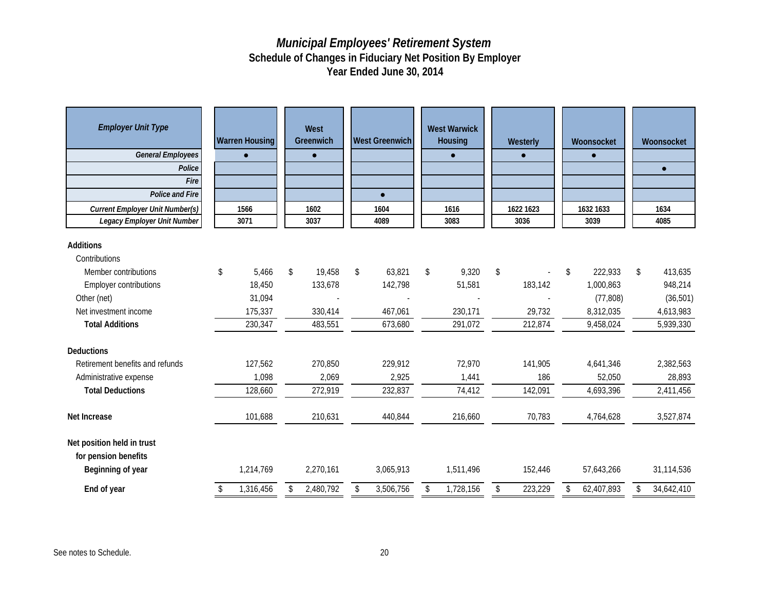| <b>Employer Unit Type</b><br><b>General Employees</b><br>Police<br>Fire<br><b>Police and Fire</b><br><b>Current Employer Unit Number(s)</b><br>Legacy Employer Unit Number | <b>Warren Housing</b><br>$\bullet$<br>1566<br>3071 | West<br>Greenwich<br>$\bullet$<br>1602<br>3037 | <b>West Greenwich</b><br>$\bullet$<br>1604<br>4089 | <b>West Warwick</b><br>Housing<br>$\bullet$<br>1616<br>3083 | Westerly<br>$\bullet$<br>1622 1623<br>3036 | Woonsocket<br>$\bullet$<br>1632 1633<br>3039 | Woonsocket<br>$\bullet$<br>1634<br>4085 |
|----------------------------------------------------------------------------------------------------------------------------------------------------------------------------|----------------------------------------------------|------------------------------------------------|----------------------------------------------------|-------------------------------------------------------------|--------------------------------------------|----------------------------------------------|-----------------------------------------|
| <b>Additions</b>                                                                                                                                                           |                                                    |                                                |                                                    |                                                             |                                            |                                              |                                         |
| Contributions                                                                                                                                                              |                                                    |                                                |                                                    |                                                             |                                            |                                              |                                         |
| Member contributions                                                                                                                                                       | \$<br>5,466                                        | \$<br>19,458                                   | \$<br>63,821                                       | \$<br>9,320                                                 | \$                                         | \$<br>222,933                                | \$<br>413,635                           |
| <b>Employer contributions</b>                                                                                                                                              | 18,450                                             | 133,678                                        | 142,798                                            | 51,581                                                      | 183,142                                    | 1,000,863                                    | 948,214                                 |
| Other (net)                                                                                                                                                                | 31,094                                             |                                                |                                                    |                                                             |                                            | (77, 808)                                    | (36, 501)                               |
| Net investment income                                                                                                                                                      | 175,337                                            | 330,414                                        | 467,061                                            | 230,171                                                     | 29,732                                     | 8,312,035                                    | 4,613,983                               |
| <b>Total Additions</b>                                                                                                                                                     | 230,347                                            | 483,551                                        | 673,680                                            | 291,072                                                     | 212,874                                    | 9,458,024                                    | 5,939,330                               |
| Deductions                                                                                                                                                                 |                                                    |                                                |                                                    |                                                             |                                            |                                              |                                         |
| Retirement benefits and refunds                                                                                                                                            | 127,562                                            | 270,850                                        | 229,912                                            | 72,970                                                      | 141,905                                    | 4,641,346                                    | 2,382,563                               |
| Administrative expense                                                                                                                                                     | 1,098                                              | 2,069                                          | 2,925                                              | 1,441                                                       | 186                                        | 52,050                                       | 28,893                                  |
| <b>Total Deductions</b>                                                                                                                                                    | 128,660                                            | 272,919                                        | 232,837                                            | 74,412                                                      | 142,091                                    | 4,693,396                                    | 2,411,456                               |
| <b>Net Increase</b>                                                                                                                                                        | 101,688                                            | 210,631                                        | 440,844                                            | 216,660                                                     | 70,783                                     | 4,764,628                                    | 3,527,874                               |
| Net position held in trust<br>for pension benefits<br>Beginning of year                                                                                                    | 1,214,769                                          | 2,270,161                                      | 3,065,913                                          | 1,511,496                                                   | 152,446                                    | 57,643,266                                   | 31,114,536                              |
| End of year                                                                                                                                                                | \$<br>1,316,456                                    | \$<br>2,480,792                                | \$<br>3,506,756                                    | \$<br>1,728,156                                             | \$<br>223,229                              | \$<br>62,407,893                             | \$<br>34,642,410                        |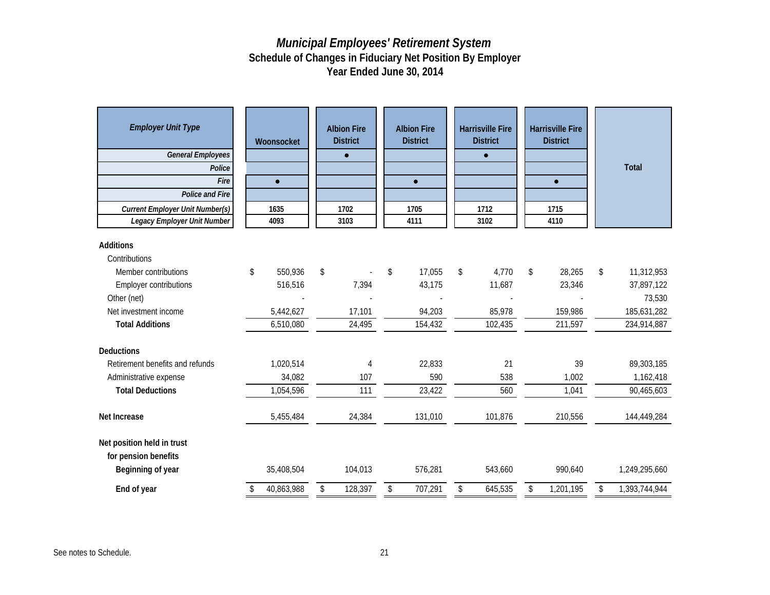| <b>Additions</b><br>Contributions<br>\$<br>\$<br>550,936<br>17,055<br>\$<br>4,770<br>\$<br>28,265<br>\$<br>11,312,953<br>Member contributions<br>\$<br>516,516<br>7,394<br>43,175<br>11,687<br>23,346<br>37,897,122<br><b>Employer contributions</b><br>73,530<br>Other (net)<br>85,978<br>185,631,282<br>Net investment income<br>5,442,627<br>17,101<br>94,203<br>159,986<br>102,435<br>6,510,080<br>24,495<br>154,432<br>211,597<br>234,914,887<br><b>Total Additions</b><br><b>Deductions</b><br>Retirement benefits and refunds<br>1,020,514<br>22,833<br>21<br>39<br>89,303,185<br>$\overline{4}$<br>34,082<br>590<br>1,162,418<br>107<br>538<br>1,002<br>Administrative expense<br><b>Total Deductions</b><br>1,054,596<br>23,422<br>560<br>90,465,603<br>111<br>1,041<br>24,384<br>131,010<br>101,876<br>210,556<br>Net Increase<br>5,455,484<br>144,449,284<br>Net position held in trust<br>for pension benefits<br>Beginning of year<br>35,408,504<br>104,013<br>576,281<br>543,660<br>990,640<br>1,249,295,660 | <b>Employer Unit Type</b><br><b>General Employees</b><br>Police<br>Fire<br><b>Police and Fire</b><br><b>Current Employer Unit Number(s)</b><br>Legacy Employer Unit Number | Woonsocket<br>$\bullet$<br>1635<br>4093 | <b>Albion Fire</b><br><b>District</b><br>$\bullet$<br>1702<br>3103 | <b>Albion Fire</b><br><b>District</b><br>$\bullet$<br>1705<br>4111 | <b>Harrisville Fire</b><br><b>District</b><br>$\bullet$<br>1712<br>3102 | <b>Harrisville Fire</b><br><b>District</b><br>$\bullet$<br>1715<br>4110 | Total               |
|----------------------------------------------------------------------------------------------------------------------------------------------------------------------------------------------------------------------------------------------------------------------------------------------------------------------------------------------------------------------------------------------------------------------------------------------------------------------------------------------------------------------------------------------------------------------------------------------------------------------------------------------------------------------------------------------------------------------------------------------------------------------------------------------------------------------------------------------------------------------------------------------------------------------------------------------------------------------------------------------------------------------------|----------------------------------------------------------------------------------------------------------------------------------------------------------------------------|-----------------------------------------|--------------------------------------------------------------------|--------------------------------------------------------------------|-------------------------------------------------------------------------|-------------------------------------------------------------------------|---------------------|
|                                                                                                                                                                                                                                                                                                                                                                                                                                                                                                                                                                                                                                                                                                                                                                                                                                                                                                                                                                                                                            |                                                                                                                                                                            |                                         |                                                                    |                                                                    |                                                                         |                                                                         |                     |
|                                                                                                                                                                                                                                                                                                                                                                                                                                                                                                                                                                                                                                                                                                                                                                                                                                                                                                                                                                                                                            |                                                                                                                                                                            |                                         |                                                                    |                                                                    |                                                                         |                                                                         |                     |
|                                                                                                                                                                                                                                                                                                                                                                                                                                                                                                                                                                                                                                                                                                                                                                                                                                                                                                                                                                                                                            |                                                                                                                                                                            |                                         |                                                                    |                                                                    |                                                                         |                                                                         |                     |
|                                                                                                                                                                                                                                                                                                                                                                                                                                                                                                                                                                                                                                                                                                                                                                                                                                                                                                                                                                                                                            |                                                                                                                                                                            |                                         |                                                                    |                                                                    |                                                                         |                                                                         |                     |
|                                                                                                                                                                                                                                                                                                                                                                                                                                                                                                                                                                                                                                                                                                                                                                                                                                                                                                                                                                                                                            |                                                                                                                                                                            |                                         |                                                                    |                                                                    |                                                                         |                                                                         |                     |
|                                                                                                                                                                                                                                                                                                                                                                                                                                                                                                                                                                                                                                                                                                                                                                                                                                                                                                                                                                                                                            |                                                                                                                                                                            |                                         |                                                                    |                                                                    |                                                                         |                                                                         |                     |
|                                                                                                                                                                                                                                                                                                                                                                                                                                                                                                                                                                                                                                                                                                                                                                                                                                                                                                                                                                                                                            |                                                                                                                                                                            |                                         |                                                                    |                                                                    |                                                                         |                                                                         |                     |
|                                                                                                                                                                                                                                                                                                                                                                                                                                                                                                                                                                                                                                                                                                                                                                                                                                                                                                                                                                                                                            |                                                                                                                                                                            |                                         |                                                                    |                                                                    |                                                                         |                                                                         |                     |
|                                                                                                                                                                                                                                                                                                                                                                                                                                                                                                                                                                                                                                                                                                                                                                                                                                                                                                                                                                                                                            |                                                                                                                                                                            |                                         |                                                                    |                                                                    |                                                                         |                                                                         |                     |
|                                                                                                                                                                                                                                                                                                                                                                                                                                                                                                                                                                                                                                                                                                                                                                                                                                                                                                                                                                                                                            |                                                                                                                                                                            |                                         |                                                                    |                                                                    |                                                                         |                                                                         |                     |
|                                                                                                                                                                                                                                                                                                                                                                                                                                                                                                                                                                                                                                                                                                                                                                                                                                                                                                                                                                                                                            |                                                                                                                                                                            |                                         |                                                                    |                                                                    |                                                                         |                                                                         |                     |
|                                                                                                                                                                                                                                                                                                                                                                                                                                                                                                                                                                                                                                                                                                                                                                                                                                                                                                                                                                                                                            |                                                                                                                                                                            |                                         |                                                                    |                                                                    |                                                                         |                                                                         |                     |
|                                                                                                                                                                                                                                                                                                                                                                                                                                                                                                                                                                                                                                                                                                                                                                                                                                                                                                                                                                                                                            |                                                                                                                                                                            |                                         |                                                                    |                                                                    |                                                                         |                                                                         |                     |
|                                                                                                                                                                                                                                                                                                                                                                                                                                                                                                                                                                                                                                                                                                                                                                                                                                                                                                                                                                                                                            | End of year                                                                                                                                                                | 40,863,988                              | \$<br>128,397                                                      | \$<br>707,291                                                      | \$<br>645,535                                                           | \$<br>1,201,195                                                         | \$<br>1,393,744,944 |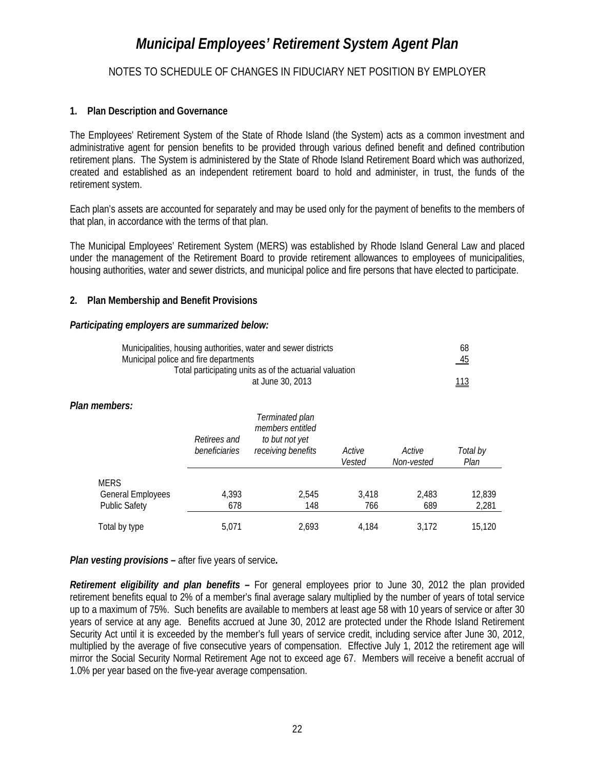#### NOTES TO SCHEDULE OF CHANGES IN FIDUCIARY NET POSITION BY EMPLOYER

#### **1. Plan Description and Governance**

The Employees' Retirement System of the State of Rhode Island (the System) acts as a common investment and administrative agent for pension benefits to be provided through various defined benefit and defined contribution retirement plans. The System is administered by the State of Rhode Island Retirement Board which was authorized, created and established as an independent retirement board to hold and administer, in trust, the funds of the retirement system.

Each plan's assets are accounted for separately and may be used only for the payment of benefits to the members of that plan, in accordance with the terms of that plan.

The Municipal Employees' Retirement System (MERS) was established by Rhode Island General Law and placed under the management of the Retirement Board to provide retirement allowances to employees of municipalities, housing authorities, water and sewer districts, and municipal police and fire persons that have elected to participate.

#### **2. Plan Membership and Benefit Provisions**

#### *Participating employers are summarized below:*

| Municipalities, housing authorities, water and sewer districts | 68               |
|----------------------------------------------------------------|------------------|
| Municipal police and fire departments                          | $\underline{45}$ |
| Total participating units as of the actuarial valuation        |                  |
| at June 30, 2013                                               | <u> 113</u>      |

#### *Plan members:*

|                                                          | Retirees and<br>beneficiaries | Terminated plan<br>members entitled<br>to but not yet<br>receiving benefits | Active<br>Vested | Active<br>Non-vested | Total by<br>Plan |
|----------------------------------------------------------|-------------------------------|-----------------------------------------------------------------------------|------------------|----------------------|------------------|
| <b>MERS</b><br>General Employees<br><b>Public Safety</b> | 4,393<br>678                  | 2.545<br>148                                                                | 3,418<br>766     | 2,483<br>689         | 12,839<br>2,281  |
| Total by type                                            | 5,071                         | 2.693                                                                       | 4.184            | 3.172                | 15,120           |

*Plan vesting provisions –* after five years of service*.* 

*Retirement eligibility and plan benefits –* For general employees prior to June 30, 2012 the plan provided retirement benefits equal to 2% of a member's final average salary multiplied by the number of years of total service up to a maximum of 75%. Such benefits are available to members at least age 58 with 10 years of service or after 30 years of service at any age. Benefits accrued at June 30, 2012 are protected under the Rhode Island Retirement Security Act until it is exceeded by the member's full years of service credit, including service after June 30, 2012, multiplied by the average of five consecutive years of compensation. Effective July 1, 2012 the retirement age will mirror the Social Security Normal Retirement Age not to exceed age 67. Members will receive a benefit accrual of 1.0% per year based on the five-year average compensation.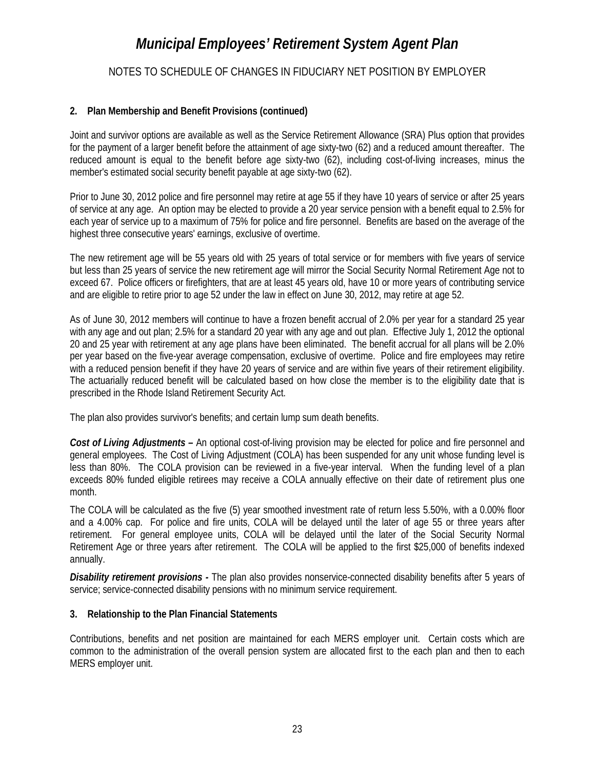#### NOTES TO SCHEDULE OF CHANGES IN FIDUCIARY NET POSITION BY EMPLOYER

#### **2. Plan Membership and Benefit Provisions (continued)**

Joint and survivor options are available as well as the Service Retirement Allowance (SRA) Plus option that provides for the payment of a larger benefit before the attainment of age sixty-two (62) and a reduced amount thereafter. The reduced amount is equal to the benefit before age sixty-two (62), including cost-of-living increases, minus the member's estimated social security benefit payable at age sixty-two (62).

Prior to June 30, 2012 police and fire personnel may retire at age 55 if they have 10 years of service or after 25 years of service at any age. An option may be elected to provide a 20 year service pension with a benefit equal to 2.5% for each year of service up to a maximum of 75% for police and fire personnel. Benefits are based on the average of the highest three consecutive years' earnings, exclusive of overtime.

The new retirement age will be 55 years old with 25 years of total service or for members with five years of service but less than 25 years of service the new retirement age will mirror the Social Security Normal Retirement Age not to exceed 67. Police officers or firefighters, that are at least 45 years old, have 10 or more years of contributing service and are eligible to retire prior to age 52 under the law in effect on June 30, 2012, may retire at age 52.

As of June 30, 2012 members will continue to have a frozen benefit accrual of 2.0% per year for a standard 25 year with any age and out plan; 2.5% for a standard 20 year with any age and out plan. Effective July 1, 2012 the optional 20 and 25 year with retirement at any age plans have been eliminated. The benefit accrual for all plans will be 2.0% per year based on the five-year average compensation, exclusive of overtime. Police and fire employees may retire with a reduced pension benefit if they have 20 years of service and are within five years of their retirement eligibility. The actuarially reduced benefit will be calculated based on how close the member is to the eligibility date that is prescribed in the Rhode Island Retirement Security Act.

The plan also provides survivor's benefits; and certain lump sum death benefits.

*Cost of Living Adjustments –* An optional cost-of-living provision may be elected for police and fire personnel and general employees. The Cost of Living Adjustment (COLA) has been suspended for any unit whose funding level is less than 80%. The COLA provision can be reviewed in a five-year interval. When the funding level of a plan exceeds 80% funded eligible retirees may receive a COLA annually effective on their date of retirement plus one month.

The COLA will be calculated as the five (5) year smoothed investment rate of return less 5.50%, with a 0.00% floor and a 4.00% cap. For police and fire units, COLA will be delayed until the later of age 55 or three years after retirement. For general employee units, COLA will be delayed until the later of the Social Security Normal Retirement Age or three years after retirement. The COLA will be applied to the first \$25,000 of benefits indexed annually.

*Disability retirement provisions -* The plan also provides nonservice-connected disability benefits after 5 years of service; service-connected disability pensions with no minimum service requirement.

#### **3. Relationship to the Plan Financial Statements**

Contributions, benefits and net position are maintained for each MERS employer unit. Certain costs which are common to the administration of the overall pension system are allocated first to the each plan and then to each MERS employer unit.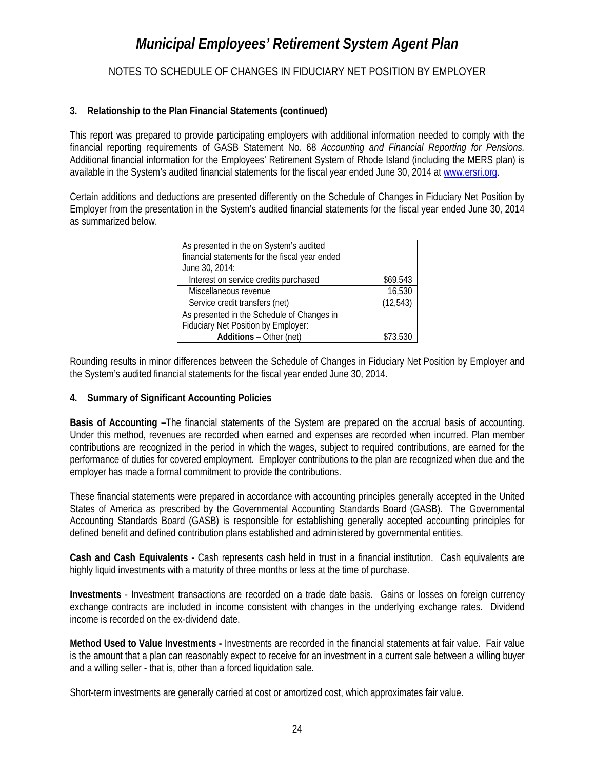#### NOTES TO SCHEDULE OF CHANGES IN FIDUCIARY NET POSITION BY EMPLOYER

#### **3. Relationship to the Plan Financial Statements (continued)**

This report was prepared to provide participating employers with additional information needed to comply with the financial reporting requirements of GASB Statement No. 68 *Accounting and Financial Reporting for Pensions.*  Additional financial information for the Employees' Retirement System of Rhode Island (including the MERS plan) is available in the System's audited financial statements for the fiscal year ended June 30, 2014 a[t www.ersri.org.](http://www.ersri.org/)

Certain additions and deductions are presented differently on the Schedule of Changes in Fiduciary Net Position by Employer from the presentation in the System's audited financial statements for the fiscal year ended June 30, 2014 as summarized below.

| As presented in the on System's audited<br>financial statements for the fiscal year ended<br>June 30, 2014: |           |
|-------------------------------------------------------------------------------------------------------------|-----------|
| Interest on service credits purchased                                                                       | \$69,543  |
| Miscellaneous revenue                                                                                       | 16,530    |
| Service credit transfers (net)                                                                              | (12, 543) |
| As presented in the Schedule of Changes in                                                                  |           |
| Fiduciary Net Position by Employer:                                                                         |           |
| Additions - Other (net)                                                                                     | \$73.530  |

Rounding results in minor differences between the Schedule of Changes in Fiduciary Net Position by Employer and the System's audited financial statements for the fiscal year ended June 30, 2014.

#### **4. Summary of Significant Accounting Policies**

**Basis of Accounting –**The financial statements of the System are prepared on the accrual basis of accounting. Under this method, revenues are recorded when earned and expenses are recorded when incurred. Plan member contributions are recognized in the period in which the wages, subject to required contributions, are earned for the performance of duties for covered employment. Employer contributions to the plan are recognized when due and the employer has made a formal commitment to provide the contributions.

These financial statements were prepared in accordance with accounting principles generally accepted in the United States of America as prescribed by the Governmental Accounting Standards Board (GASB). The Governmental Accounting Standards Board (GASB) is responsible for establishing generally accepted accounting principles for defined benefit and defined contribution plans established and administered by governmental entities.

**Cash and Cash Equivalents -** Cash represents cash held in trust in a financial institution. Cash equivalents are highly liquid investments with a maturity of three months or less at the time of purchase.

**Investments** - Investment transactions are recorded on a trade date basis. Gains or losses on foreign currency exchange contracts are included in income consistent with changes in the underlying exchange rates. Dividend income is recorded on the ex-dividend date.

**Method Used to Value Investments -** Investments are recorded in the financial statements at fair value. Fair value is the amount that a plan can reasonably expect to receive for an investment in a current sale between a willing buyer and a willing seller - that is, other than a forced liquidation sale.

Short-term investments are generally carried at cost or amortized cost, which approximates fair value.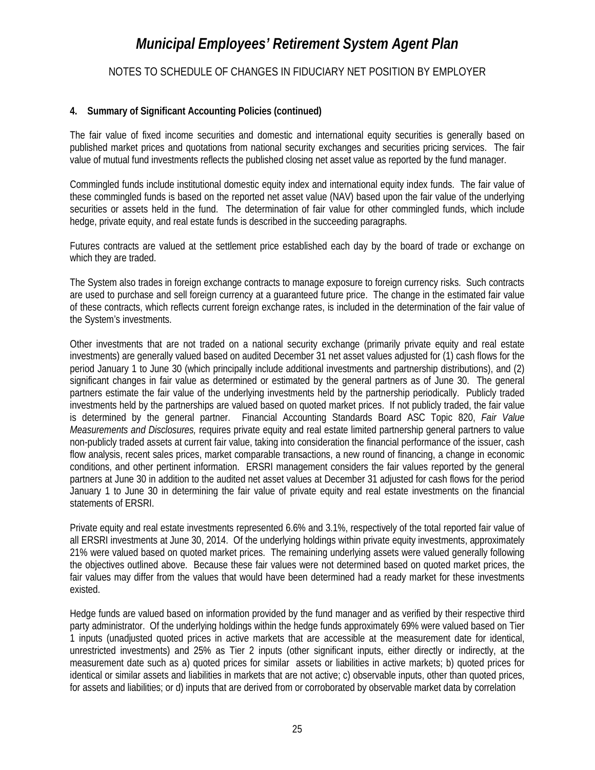NOTES TO SCHEDULE OF CHANGES IN FIDUCIARY NET POSITION BY EMPLOYER

#### **4. Summary of Significant Accounting Policies (continued)**

The fair value of fixed income securities and domestic and international equity securities is generally based on published market prices and quotations from national security exchanges and securities pricing services. The fair value of mutual fund investments reflects the published closing net asset value as reported by the fund manager.

Commingled funds include institutional domestic equity index and international equity index funds. The fair value of these commingled funds is based on the reported net asset value (NAV) based upon the fair value of the underlying securities or assets held in the fund. The determination of fair value for other commingled funds, which include hedge, private equity, and real estate funds is described in the succeeding paragraphs.

Futures contracts are valued at the settlement price established each day by the board of trade or exchange on which they are traded.

The System also trades in foreign exchange contracts to manage exposure to foreign currency risks. Such contracts are used to purchase and sell foreign currency at a guaranteed future price. The change in the estimated fair value of these contracts, which reflects current foreign exchange rates, is included in the determination of the fair value of the System's investments.

Other investments that are not traded on a national security exchange (primarily private equity and real estate investments) are generally valued based on audited December 31 net asset values adjusted for (1) cash flows for the period January 1 to June 30 (which principally include additional investments and partnership distributions), and (2) significant changes in fair value as determined or estimated by the general partners as of June 30. The general partners estimate the fair value of the underlying investments held by the partnership periodically. Publicly traded investments held by the partnerships are valued based on quoted market prices. If not publicly traded, the fair value is determined by the general partner. Financial Accounting Standards Board ASC Topic 820, *Fair Value Measurements and Disclosures,* requires private equity and real estate limited partnership general partners to value non-publicly traded assets at current fair value, taking into consideration the financial performance of the issuer, cash flow analysis, recent sales prices, market comparable transactions, a new round of financing, a change in economic conditions, and other pertinent information. ERSRI management considers the fair values reported by the general partners at June 30 in addition to the audited net asset values at December 31 adjusted for cash flows for the period January 1 to June 30 in determining the fair value of private equity and real estate investments on the financial statements of ERSRI.

Private equity and real estate investments represented 6.6% and 3.1%, respectively of the total reported fair value of all ERSRI investments at June 30, 2014. Of the underlying holdings within private equity investments, approximately 21% were valued based on quoted market prices. The remaining underlying assets were valued generally following the objectives outlined above. Because these fair values were not determined based on quoted market prices, the fair values may differ from the values that would have been determined had a ready market for these investments existed.

Hedge funds are valued based on information provided by the fund manager and as verified by their respective third party administrator. Of the underlying holdings within the hedge funds approximately 69% were valued based on Tier 1 inputs (unadjusted quoted prices in active markets that are accessible at the measurement date for identical, unrestricted investments) and 25% as Tier 2 inputs (other significant inputs, either directly or indirectly, at the measurement date such as a) quoted prices for similar assets or liabilities in active markets; b) quoted prices for identical or similar assets and liabilities in markets that are not active; c) observable inputs, other than quoted prices, for assets and liabilities; or d) inputs that are derived from or corroborated by observable market data by correlation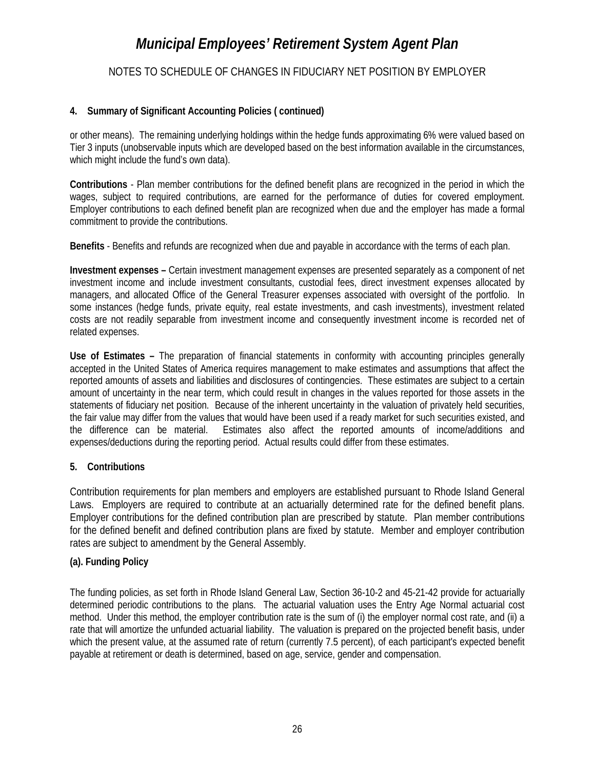NOTES TO SCHEDULE OF CHANGES IN FIDUCIARY NET POSITION BY EMPLOYER

#### **4. Summary of Significant Accounting Policies ( continued)**

or other means). The remaining underlying holdings within the hedge funds approximating 6% were valued based on Tier 3 inputs (unobservable inputs which are developed based on the best information available in the circumstances, which might include the fund's own data).

**Contributions** - Plan member contributions for the defined benefit plans are recognized in the period in which the wages, subject to required contributions, are earned for the performance of duties for covered employment. Employer contributions to each defined benefit plan are recognized when due and the employer has made a formal commitment to provide the contributions.

**Benefits** - Benefits and refunds are recognized when due and payable in accordance with the terms of each plan.

**Investment expenses –** Certain investment management expenses are presented separately as a component of net investment income and include investment consultants, custodial fees, direct investment expenses allocated by managers, and allocated Office of the General Treasurer expenses associated with oversight of the portfolio. In some instances (hedge funds, private equity, real estate investments, and cash investments), investment related costs are not readily separable from investment income and consequently investment income is recorded net of related expenses.

**Use of Estimates –** The preparation of financial statements in conformity with accounting principles generally accepted in the United States of America requires management to make estimates and assumptions that affect the reported amounts of assets and liabilities and disclosures of contingencies. These estimates are subject to a certain amount of uncertainty in the near term, which could result in changes in the values reported for those assets in the statements of fiduciary net position. Because of the inherent uncertainty in the valuation of privately held securities, the fair value may differ from the values that would have been used if a ready market for such securities existed, and the difference can be material. Estimates also affect the reported amounts of income/additions and expenses/deductions during the reporting period. Actual results could differ from these estimates.

#### **5. Contributions**

Contribution requirements for plan members and employers are established pursuant to Rhode Island General Laws. Employers are required to contribute at an actuarially determined rate for the defined benefit plans. Employer contributions for the defined contribution plan are prescribed by statute. Plan member contributions for the defined benefit and defined contribution plans are fixed by statute. Member and employer contribution rates are subject to amendment by the General Assembly.

#### **(a). Funding Policy**

The funding policies, as set forth in Rhode Island General Law, Section 36-10-2 and 45-21-42 provide for actuarially determined periodic contributions to the plans. The actuarial valuation uses the Entry Age Normal actuarial cost method. Under this method, the employer contribution rate is the sum of (i) the employer normal cost rate, and (ii) a rate that will amortize the unfunded actuarial liability. The valuation is prepared on the projected benefit basis, under which the present value, at the assumed rate of return (currently 7.5 percent), of each participant's expected benefit payable at retirement or death is determined, based on age, service, gender and compensation.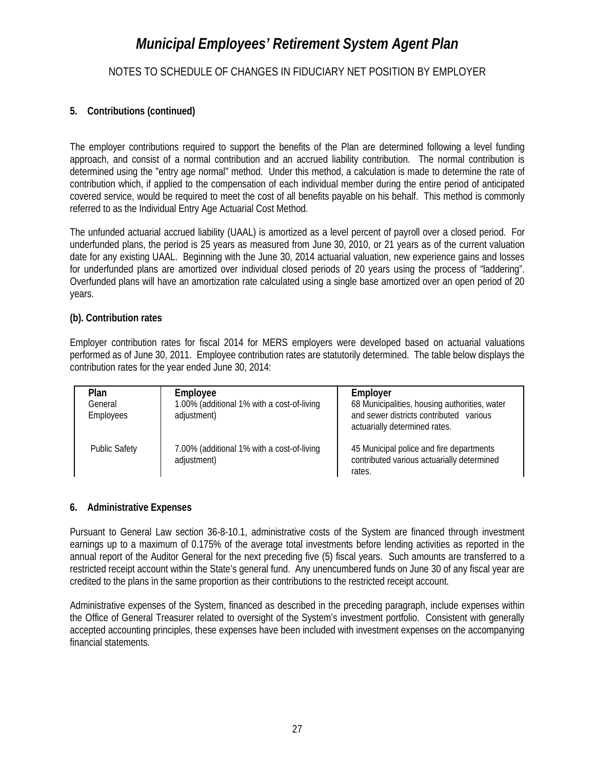#### NOTES TO SCHEDULE OF CHANGES IN FIDUCIARY NET POSITION BY EMPLOYER

#### **5. Contributions (continued)**

The employer contributions required to support the benefits of the Plan are determined following a level funding approach, and consist of a normal contribution and an accrued liability contribution. The normal contribution is determined using the "entry age normal" method. Under this method, a calculation is made to determine the rate of contribution which, if applied to the compensation of each individual member during the entire period of anticipated covered service, would be required to meet the cost of all benefits payable on his behalf. This method is commonly referred to as the Individual Entry Age Actuarial Cost Method.

The unfunded actuarial accrued liability (UAAL) is amortized as a level percent of payroll over a closed period. For underfunded plans, the period is 25 years as measured from June 30, 2010, or 21 years as of the current valuation date for any existing UAAL. Beginning with the June 30, 2014 actuarial valuation, new experience gains and losses for underfunded plans are amortized over individual closed periods of 20 years using the process of "laddering". Overfunded plans will have an amortization rate calculated using a single base amortized over an open period of 20 years.

#### **(b). Contribution rates**

Employer contribution rates for fiscal 2014 for MERS employers were developed based on actuarial valuations performed as of June 30, 2011. Employee contribution rates are statutorily determined. The table below displays the contribution rates for the year ended June 30, 2014:

| <b>Plan</b><br>General<br>Employees | Employee<br>1.00% (additional 1% with a cost-of-living<br>adjustment) | Employer<br>68 Municipalities, housing authorities, water<br>and sewer districts contributed various<br>actuarially determined rates. |
|-------------------------------------|-----------------------------------------------------------------------|---------------------------------------------------------------------------------------------------------------------------------------|
| <b>Public Safety</b>                | 7.00% (additional 1% with a cost-of-living<br>adjustment)             | 45 Municipal police and fire departments<br>contributed various actuarially determined<br>rates.                                      |

#### **6. Administrative Expenses**

Pursuant to General Law section 36-8-10.1, administrative costs of the System are financed through investment earnings up to a maximum of 0.175% of the average total investments before lending activities as reported in the annual report of the Auditor General for the next preceding five (5) fiscal years. Such amounts are transferred to a restricted receipt account within the State's general fund. Any unencumbered funds on June 30 of any fiscal year are credited to the plans in the same proportion as their contributions to the restricted receipt account.

Administrative expenses of the System, financed as described in the preceding paragraph, include expenses within the Office of General Treasurer related to oversight of the System's investment portfolio. Consistent with generally accepted accounting principles, these expenses have been included with investment expenses on the accompanying financial statements.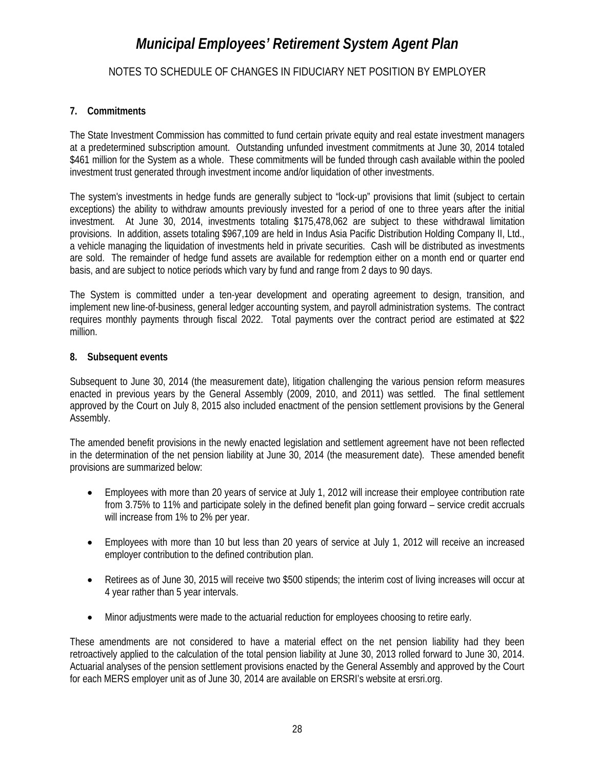#### NOTES TO SCHEDULE OF CHANGES IN FIDUCIARY NET POSITION BY EMPLOYER

#### **7. Commitments**

The State Investment Commission has committed to fund certain private equity and real estate investment managers at a predetermined subscription amount. Outstanding unfunded investment commitments at June 30, 2014 totaled \$461 million for the System as a whole. These commitments will be funded through cash available within the pooled investment trust generated through investment income and/or liquidation of other investments.

The system's investments in hedge funds are generally subject to "lock-up" provisions that limit (subject to certain exceptions) the ability to withdraw amounts previously invested for a period of one to three years after the initial investment. At June 30, 2014, investments totaling \$175,478,062 are subject to these withdrawal limitation provisions. In addition, assets totaling \$967,109 are held in Indus Asia Pacific Distribution Holding Company II, Ltd., a vehicle managing the liquidation of investments held in private securities. Cash will be distributed as investments are sold. The remainder of hedge fund assets are available for redemption either on a month end or quarter end basis, and are subject to notice periods which vary by fund and range from 2 days to 90 days.

The System is committed under a ten-year development and operating agreement to design, transition, and implement new line-of-business, general ledger accounting system, and payroll administration systems. The contract requires monthly payments through fiscal 2022. Total payments over the contract period are estimated at \$22 million.

#### **8. Subsequent events**

Subsequent to June 30, 2014 (the measurement date), litigation challenging the various pension reform measures enacted in previous years by the General Assembly (2009, 2010, and 2011) was settled. The final settlement approved by the Court on July 8, 2015 also included enactment of the pension settlement provisions by the General Assembly.

The amended benefit provisions in the newly enacted legislation and settlement agreement have not been reflected in the determination of the net pension liability at June 30, 2014 (the measurement date). These amended benefit provisions are summarized below:

- Employees with more than 20 years of service at July 1, 2012 will increase their employee contribution rate from 3.75% to 11% and participate solely in the defined benefit plan going forward – service credit accruals will increase from 1% to 2% per year.
- Employees with more than 10 but less than 20 years of service at July 1, 2012 will receive an increased employer contribution to the defined contribution plan.
- Retirees as of June 30, 2015 will receive two \$500 stipends; the interim cost of living increases will occur at 4 year rather than 5 year intervals.
- Minor adjustments were made to the actuarial reduction for employees choosing to retire early.

These amendments are not considered to have a material effect on the net pension liability had they been retroactively applied to the calculation of the total pension liability at June 30, 2013 rolled forward to June 30, 2014. Actuarial analyses of the pension settlement provisions enacted by the General Assembly and approved by the Court for each MERS employer unit as of June 30, 2014 are available on ERSRI's website at ersri.org.